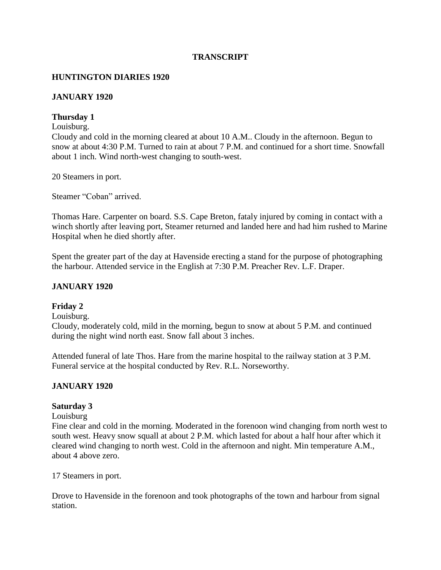### **TRANSCRIPT**

#### **HUNTINGTON DIARIES 1920**

#### **JANUARY 1920**

#### **Thursday 1**

#### Louisburg.

Cloudy and cold in the morning cleared at about 10 A.M.. Cloudy in the afternoon. Begun to snow at about 4:30 P.M. Turned to rain at about 7 P.M. and continued for a short time. Snowfall about 1 inch. Wind north-west changing to south-west.

20 Steamers in port.

Steamer "Coban" arrived.

Thomas Hare. Carpenter on board. S.S. Cape Breton, fataly injured by coming in contact with a winch shortly after leaving port, Steamer returned and landed here and had him rushed to Marine Hospital when he died shortly after.

Spent the greater part of the day at Havenside erecting a stand for the purpose of photographing the harbour. Attended service in the English at 7:30 P.M. Preacher Rev. L.F. Draper.

#### **JANUARY 1920**

#### **Friday 2**

Louisburg.

Cloudy, moderately cold, mild in the morning, begun to snow at about 5 P.M. and continued during the night wind north east. Snow fall about 3 inches.

Attended funeral of late Thos. Hare from the marine hospital to the railway station at 3 P.M. Funeral service at the hospital conducted by Rev. R.L. Norseworthy.

#### **JANUARY 1920**

#### **Saturday 3**

#### Louisburg

Fine clear and cold in the morning. Moderated in the forenoon wind changing from north west to south west. Heavy snow squall at about 2 P.M. which lasted for about a half hour after which it cleared wind changing to north west. Cold in the afternoon and night. Min temperature A.M., about 4 above zero.

17 Steamers in port.

Drove to Havenside in the forenoon and took photographs of the town and harbour from signal station.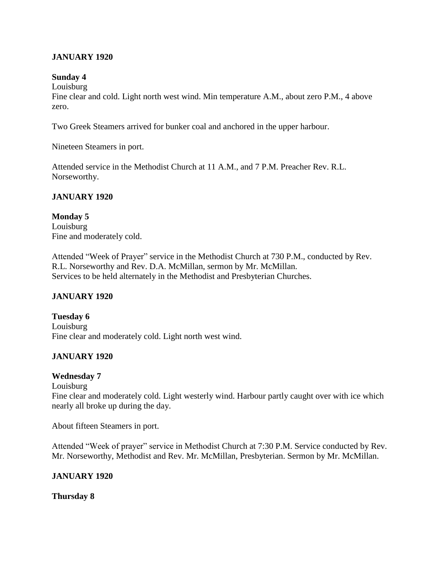### **JANUARY 1920**

### **Sunday 4**

Louisburg

Fine clear and cold. Light north west wind. Min temperature A.M., about zero P.M., 4 above zero.

Two Greek Steamers arrived for bunker coal and anchored in the upper harbour.

Nineteen Steamers in port.

Attended service in the Methodist Church at 11 A.M., and 7 P.M. Preacher Rev. R.L. Norseworthy.

### **JANUARY 1920**

**Monday 5** Louisburg Fine and moderately cold.

Attended "Week of Prayer" service in the Methodist Church at 730 P.M., conducted by Rev. R.L. Norseworthy and Rev. D.A. McMillan, sermon by Mr. McMillan. Services to be held alternately in the Methodist and Presbyterian Churches.

# **JANUARY 1920**

**Tuesday 6** Louisburg Fine clear and moderately cold. Light north west wind.

# **JANUARY 1920**

### **Wednesday 7**

Louisburg

Fine clear and moderately cold. Light westerly wind. Harbour partly caught over with ice which nearly all broke up during the day.

About fifteen Steamers in port.

Attended "Week of prayer" service in Methodist Church at 7:30 P.M. Service conducted by Rev. Mr. Norseworthy, Methodist and Rev. Mr. McMillan, Presbyterian. Sermon by Mr. McMillan.

# **JANUARY 1920**

**Thursday 8**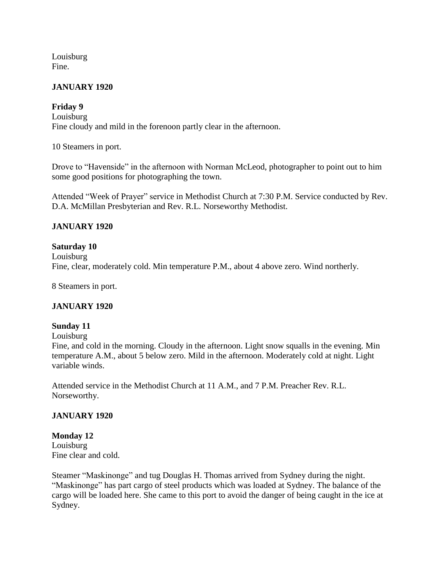Louisburg Fine.

#### **JANUARY 1920**

### **Friday 9**

Louisburg Fine cloudy and mild in the forenoon partly clear in the afternoon.

10 Steamers in port.

Drove to "Havenside" in the afternoon with Norman McLeod, photographer to point out to him some good positions for photographing the town.

Attended "Week of Prayer" service in Methodist Church at 7:30 P.M. Service conducted by Rev. D.A. McMillan Presbyterian and Rev. R.L. Norseworthy Methodist.

### **JANUARY 1920**

#### **Saturday 10**

Louisburg Fine, clear, moderately cold. Min temperature P.M., about 4 above zero. Wind northerly.

8 Steamers in port.

### **JANUARY 1920**

#### **Sunday 11**

Louisburg

Fine, and cold in the morning. Cloudy in the afternoon. Light snow squalls in the evening. Min temperature A.M., about 5 below zero. Mild in the afternoon. Moderately cold at night. Light variable winds.

Attended service in the Methodist Church at 11 A.M., and 7 P.M. Preacher Rev. R.L. Norseworthy.

### **JANUARY 1920**

**Monday 12** Louisburg Fine clear and cold.

Steamer "Maskinonge" and tug Douglas H. Thomas arrived from Sydney during the night. "Maskinonge" has part cargo of steel products which was loaded at Sydney. The balance of the cargo will be loaded here. She came to this port to avoid the danger of being caught in the ice at Sydney.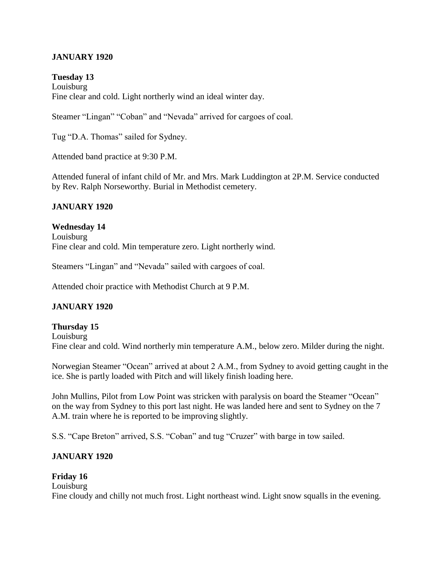### **JANUARY 1920**

**Tuesday 13** Louisburg Fine clear and cold. Light northerly wind an ideal winter day.

Steamer "Lingan" "Coban" and "Nevada" arrived for cargoes of coal.

Tug "D.A. Thomas" sailed for Sydney.

Attended band practice at 9:30 P.M.

Attended funeral of infant child of Mr. and Mrs. Mark Luddington at 2P.M. Service conducted by Rev. Ralph Norseworthy. Burial in Methodist cemetery.

#### **JANUARY 1920**

**Wednesday 14** Louisburg Fine clear and cold. Min temperature zero. Light northerly wind.

Steamers "Lingan" and "Nevada" sailed with cargoes of coal.

Attended choir practice with Methodist Church at 9 P.M.

#### **JANUARY 1920**

**Thursday 15** Louisburg Fine clear and cold. Wind northerly min temperature A.M., below zero. Milder during the night.

Norwegian Steamer "Ocean" arrived at about 2 A.M., from Sydney to avoid getting caught in the ice. She is partly loaded with Pitch and will likely finish loading here.

John Mullins, Pilot from Low Point was stricken with paralysis on board the Steamer "Ocean" on the way from Sydney to this port last night. He was landed here and sent to Sydney on the 7 A.M. train where he is reported to be improving slightly.

S.S. "Cape Breton" arrived, S.S. "Coban" and tug "Cruzer" with barge in tow sailed.

#### **JANUARY 1920**

#### **Friday 16**

Louisburg Fine cloudy and chilly not much frost. Light northeast wind. Light snow squalls in the evening.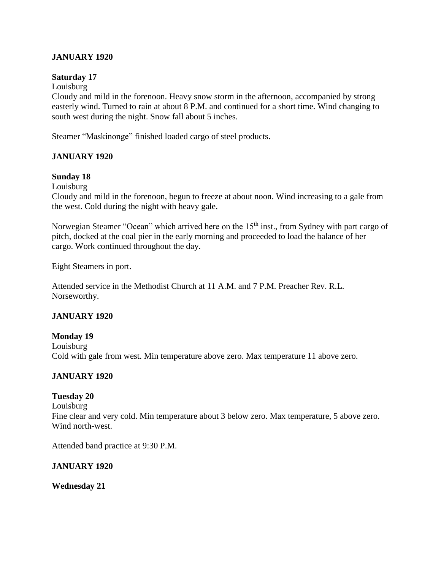### **JANUARY 1920**

#### **Saturday 17**

#### Louisburg

Cloudy and mild in the forenoon. Heavy snow storm in the afternoon, accompanied by strong easterly wind. Turned to rain at about 8 P.M. and continued for a short time. Wind changing to south west during the night. Snow fall about 5 inches.

Steamer "Maskinonge" finished loaded cargo of steel products.

#### **JANUARY 1920**

#### **Sunday 18**

Louisburg

Cloudy and mild in the forenoon, begun to freeze at about noon. Wind increasing to a gale from the west. Cold during the night with heavy gale.

Norwegian Steamer "Ocean" which arrived here on the 15<sup>th</sup> inst., from Sydney with part cargo of pitch, docked at the coal pier in the early morning and proceeded to load the balance of her cargo. Work continued throughout the day.

Eight Steamers in port.

Attended service in the Methodist Church at 11 A.M. and 7 P.M. Preacher Rev. R.L. Norseworthy.

#### **JANUARY 1920**

#### **Monday 19**

Louisburg Cold with gale from west. Min temperature above zero. Max temperature 11 above zero.

### **JANUARY 1920**

#### **Tuesday 20**

Louisburg Fine clear and very cold. Min temperature about 3 below zero. Max temperature, 5 above zero. Wind north-west.

Attended band practice at 9:30 P.M.

#### **JANUARY 1920**

**Wednesday 21**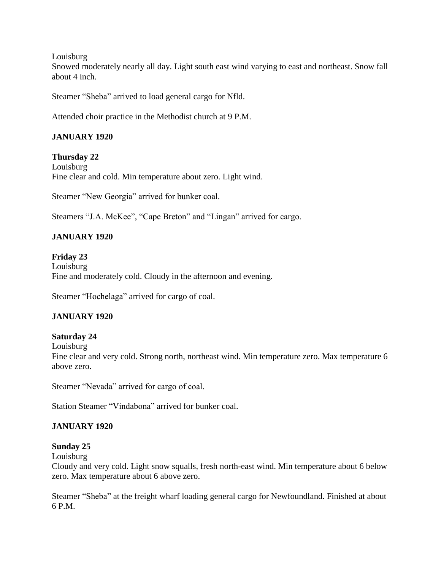Louisburg

Snowed moderately nearly all day. Light south east wind varying to east and northeast. Snow fall about 4 inch.

Steamer "Sheba" arrived to load general cargo for Nfld.

Attended choir practice in the Methodist church at 9 P.M.

# **JANUARY 1920**

### **Thursday 22**

Louisburg Fine clear and cold. Min temperature about zero. Light wind.

Steamer "New Georgia" arrived for bunker coal.

Steamers "J.A. McKee", "Cape Breton" and "Lingan" arrived for cargo.

# **JANUARY 1920**

**Friday 23** Louisburg Fine and moderately cold. Cloudy in the afternoon and evening.

Steamer "Hochelaga" arrived for cargo of coal.

# **JANUARY 1920**

### **Saturday 24**

Louisburg

Fine clear and very cold. Strong north, northeast wind. Min temperature zero. Max temperature 6 above zero.

Steamer "Nevada" arrived for cargo of coal.

Station Steamer "Vindabona" arrived for bunker coal.

### **JANUARY 1920**

### **Sunday 25**

Louisburg

Cloudy and very cold. Light snow squalls, fresh north-east wind. Min temperature about 6 below zero. Max temperature about 6 above zero.

Steamer "Sheba" at the freight wharf loading general cargo for Newfoundland. Finished at about 6 P.M.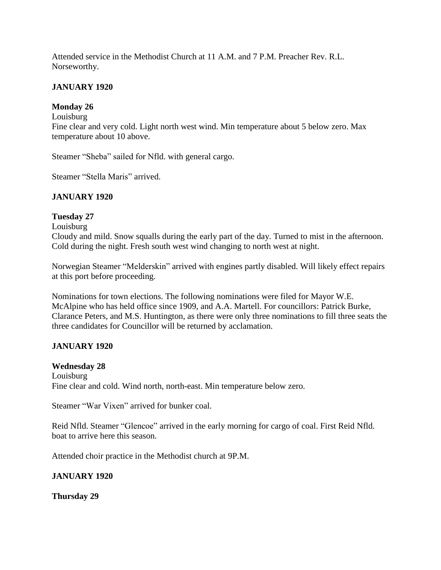Attended service in the Methodist Church at 11 A.M. and 7 P.M. Preacher Rev. R.L. Norseworthy.

### **JANUARY 1920**

### **Monday 26**

#### Louisburg

Fine clear and very cold. Light north west wind. Min temperature about 5 below zero. Max temperature about 10 above.

Steamer "Sheba" sailed for Nfld. with general cargo.

Steamer "Stella Maris" arrived.

### **JANUARY 1920**

#### **Tuesday 27**

Louisburg

Cloudy and mild. Snow squalls during the early part of the day. Turned to mist in the afternoon. Cold during the night. Fresh south west wind changing to north west at night.

Norwegian Steamer "Melderskin" arrived with engines partly disabled. Will likely effect repairs at this port before proceeding.

Nominations for town elections. The following nominations were filed for Mayor W.E. McAlpine who has held office since 1909, and A.A. Martell. For councillors: Patrick Burke, Clarance Peters, and M.S. Huntington, as there were only three nominations to fill three seats the three candidates for Councillor will be returned by acclamation.

### **JANUARY 1920**

#### **Wednesday 28**

Louisburg Fine clear and cold. Wind north, north-east. Min temperature below zero.

Steamer "War Vixen" arrived for bunker coal.

Reid Nfld. Steamer "Glencoe" arrived in the early morning for cargo of coal. First Reid Nfld. boat to arrive here this season.

Attended choir practice in the Methodist church at 9P.M.

### **JANUARY 1920**

**Thursday 29**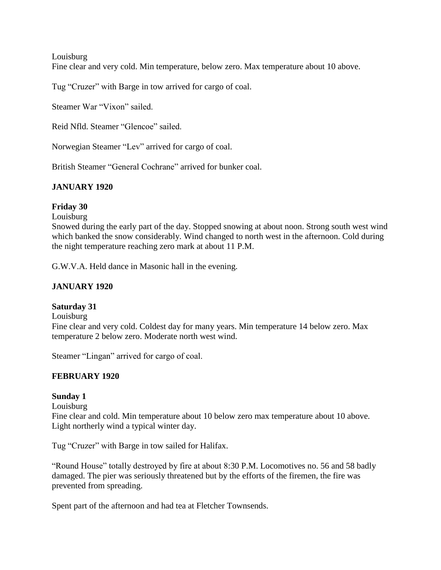Louisburg

Fine clear and very cold. Min temperature, below zero. Max temperature about 10 above.

Tug "Cruzer" with Barge in tow arrived for cargo of coal.

Steamer War "Vixon" sailed.

Reid Nfld. Steamer "Glencoe" sailed.

Norwegian Steamer "Lev" arrived for cargo of coal.

British Steamer "General Cochrane" arrived for bunker coal.

### **JANUARY 1920**

#### **Friday 30**

Louisburg

Snowed during the early part of the day. Stopped snowing at about noon. Strong south west wind which banked the snow considerably. Wind changed to north west in the afternoon. Cold during the night temperature reaching zero mark at about 11 P.M.

G.W.V.A. Held dance in Masonic hall in the evening.

#### **JANUARY 1920**

#### **Saturday 31**

Louisburg

Fine clear and very cold. Coldest day for many years. Min temperature 14 below zero. Max temperature 2 below zero. Moderate north west wind.

Steamer "Lingan" arrived for cargo of coal.

#### **FEBRUARY 1920**

#### **Sunday 1**

Louisburg

Fine clear and cold. Min temperature about 10 below zero max temperature about 10 above. Light northerly wind a typical winter day.

Tug "Cruzer" with Barge in tow sailed for Halifax.

"Round House" totally destroyed by fire at about 8:30 P.M. Locomotives no. 56 and 58 badly damaged. The pier was seriously threatened but by the efforts of the firemen, the fire was prevented from spreading.

Spent part of the afternoon and had tea at Fletcher Townsends.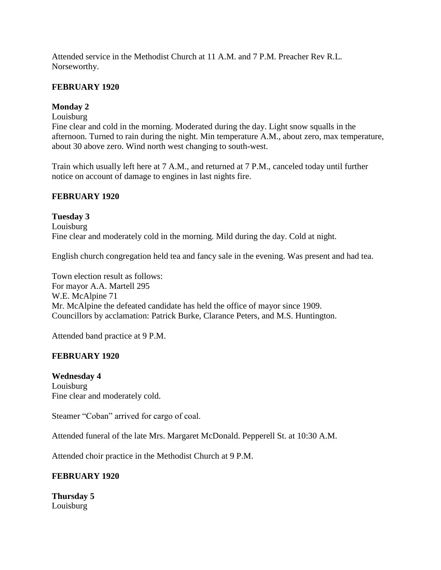Attended service in the Methodist Church at 11 A.M. and 7 P.M. Preacher Rev R.L. Norseworthy.

### **FEBRUARY 1920**

# **Monday 2**

### Louisburg

Fine clear and cold in the morning. Moderated during the day. Light snow squalls in the afternoon. Turned to rain during the night. Min temperature A.M., about zero, max temperature, about 30 above zero. Wind north west changing to south-west.

Train which usually left here at 7 A.M., and returned at 7 P.M., canceled today until further notice on account of damage to engines in last nights fire.

#### **FEBRUARY 1920**

#### **Tuesday 3**

Louisburg Fine clear and moderately cold in the morning. Mild during the day. Cold at night.

English church congregation held tea and fancy sale in the evening. Was present and had tea.

Town election result as follows: For mayor A.A. Martell 295 W.E. McAlpine 71 Mr. McAlpine the defeated candidate has held the office of mayor since 1909. Councillors by acclamation: Patrick Burke, Clarance Peters, and M.S. Huntington.

Attended band practice at 9 P.M.

### **FEBRUARY 1920**

### **Wednesday 4** Louisburg Fine clear and moderately cold.

Steamer "Coban" arrived for cargo of coal.

Attended funeral of the late Mrs. Margaret McDonald. Pepperell St. at 10:30 A.M.

Attended choir practice in the Methodist Church at 9 P.M.

### **FEBRUARY 1920**

**Thursday 5** Louisburg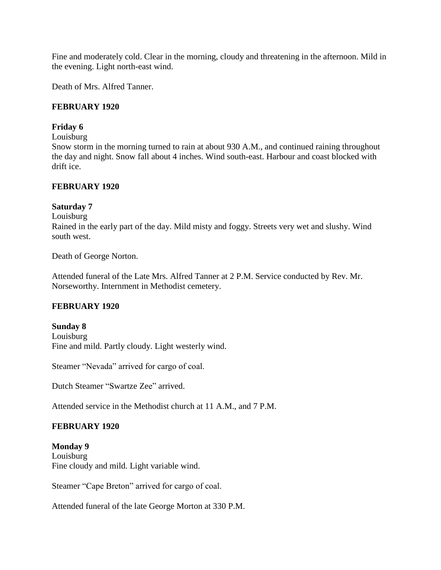Fine and moderately cold. Clear in the morning, cloudy and threatening in the afternoon. Mild in the evening. Light north-east wind.

Death of Mrs. Alfred Tanner.

#### **FEBRUARY 1920**

#### **Friday 6**

Louisburg

Snow storm in the morning turned to rain at about 930 A.M., and continued raining throughout the day and night. Snow fall about 4 inches. Wind south-east. Harbour and coast blocked with drift ice.

#### **FEBRUARY 1920**

#### **Saturday 7**

Louisburg

Rained in the early part of the day. Mild misty and foggy. Streets very wet and slushy. Wind south west.

Death of George Norton.

Attended funeral of the Late Mrs. Alfred Tanner at 2 P.M. Service conducted by Rev. Mr. Norseworthy. Internment in Methodist cemetery.

### **FEBRUARY 1920**

**Sunday 8** Louisburg Fine and mild. Partly cloudy. Light westerly wind.

Steamer "Nevada" arrived for cargo of coal.

Dutch Steamer "Swartze Zee" arrived.

Attended service in the Methodist church at 11 A.M., and 7 P.M.

### **FEBRUARY 1920**

**Monday 9** Louisburg Fine cloudy and mild. Light variable wind.

Steamer "Cape Breton" arrived for cargo of coal.

Attended funeral of the late George Morton at 330 P.M.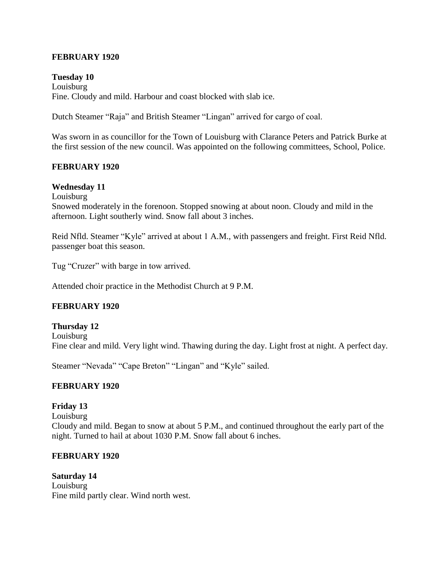#### **FEBRUARY 1920**

### **Tuesday 10** Louisburg Fine. Cloudy and mild. Harbour and coast blocked with slab ice.

Dutch Steamer "Raja" and British Steamer "Lingan" arrived for cargo of coal.

Was sworn in as councillor for the Town of Louisburg with Clarance Peters and Patrick Burke at the first session of the new council. Was appointed on the following committees, School, Police.

#### **FEBRUARY 1920**

#### **Wednesday 11**

Louisburg

Snowed moderately in the forenoon. Stopped snowing at about noon. Cloudy and mild in the afternoon. Light southerly wind. Snow fall about 3 inches.

Reid Nfld. Steamer "Kyle" arrived at about 1 A.M., with passengers and freight. First Reid Nfld. passenger boat this season.

Tug "Cruzer" with barge in tow arrived.

Attended choir practice in the Methodist Church at 9 P.M.

### **FEBRUARY 1920**

#### **Thursday 12** Louisburg Fine clear and mild. Very light wind. Thawing during the day. Light frost at night. A perfect day.

Steamer "Nevada" "Cape Breton" "Lingan" and "Kyle" sailed.

#### **FEBRUARY 1920**

### **Friday 13**

Louisburg

Cloudy and mild. Began to snow at about 5 P.M., and continued throughout the early part of the night. Turned to hail at about 1030 P.M. Snow fall about 6 inches.

#### **FEBRUARY 1920**

**Saturday 14** Louisburg Fine mild partly clear. Wind north west.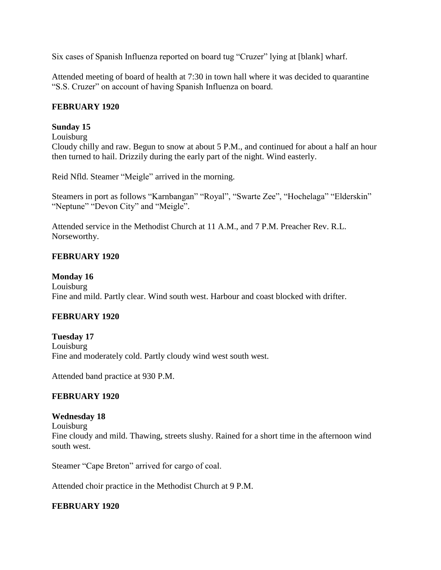Six cases of Spanish Influenza reported on board tug "Cruzer" lying at [blank] wharf.

Attended meeting of board of health at 7:30 in town hall where it was decided to quarantine "S.S. Cruzer" on account of having Spanish Influenza on board.

#### **FEBRUARY 1920**

### **Sunday 15**

#### Louisburg

Cloudy chilly and raw. Begun to snow at about 5 P.M., and continued for about a half an hour then turned to hail. Drizzily during the early part of the night. Wind easterly.

Reid Nfld. Steamer "Meigle" arrived in the morning.

Steamers in port as follows "Karnbangan" "Royal", "Swarte Zee", "Hochelaga" "Elderskin" "Neptune" "Devon City" and "Meigle".

Attended service in the Methodist Church at 11 A.M., and 7 P.M. Preacher Rev. R.L. Norseworthy.

### **FEBRUARY 1920**

#### **Monday 16**

Louisburg Fine and mild. Partly clear. Wind south west. Harbour and coast blocked with drifter.

### **FEBRUARY 1920**

#### **Tuesday 17**

Louisburg

Fine and moderately cold. Partly cloudy wind west south west.

Attended band practice at 930 P.M.

#### **FEBRUARY 1920**

#### **Wednesday 18**

Louisburg Fine cloudy and mild. Thawing, streets slushy. Rained for a short time in the afternoon wind south west.

Steamer "Cape Breton" arrived for cargo of coal.

Attended choir practice in the Methodist Church at 9 P.M.

#### **FEBRUARY 1920**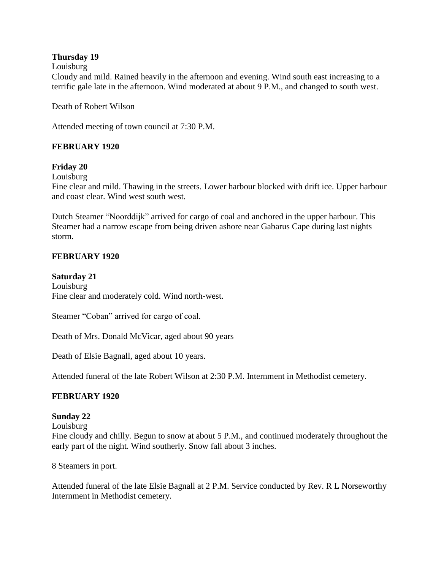### **Thursday 19**

#### Louisburg

Cloudy and mild. Rained heavily in the afternoon and evening. Wind south east increasing to a terrific gale late in the afternoon. Wind moderated at about 9 P.M., and changed to south west.

Death of Robert Wilson

Attended meeting of town council at 7:30 P.M.

### **FEBRUARY 1920**

### **Friday 20**

Louisburg

Fine clear and mild. Thawing in the streets. Lower harbour blocked with drift ice. Upper harbour and coast clear. Wind west south west.

Dutch Steamer "Noorddijk" arrived for cargo of coal and anchored in the upper harbour. This Steamer had a narrow escape from being driven ashore near Gabarus Cape during last nights storm.

### **FEBRUARY 1920**

**Saturday 21** Louisburg Fine clear and moderately cold. Wind north-west.

Steamer "Coban" arrived for cargo of coal.

Death of Mrs. Donald McVicar, aged about 90 years

Death of Elsie Bagnall, aged about 10 years.

Attended funeral of the late Robert Wilson at 2:30 P.M. Internment in Methodist cemetery.

### **FEBRUARY 1920**

#### **Sunday 22**

Louisburg

Fine cloudy and chilly. Begun to snow at about 5 P.M., and continued moderately throughout the early part of the night. Wind southerly. Snow fall about 3 inches.

8 Steamers in port.

Attended funeral of the late Elsie Bagnall at 2 P.M. Service conducted by Rev. R L Norseworthy Internment in Methodist cemetery.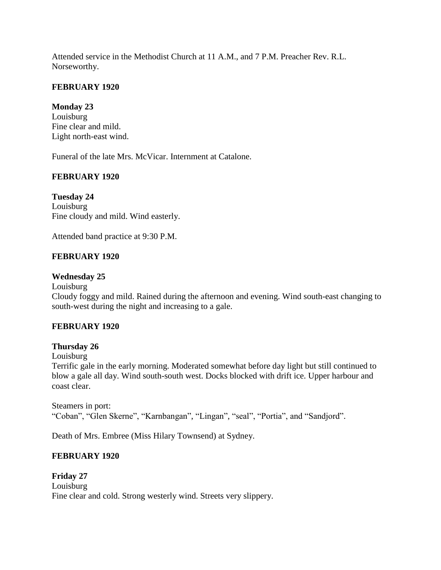Attended service in the Methodist Church at 11 A.M., and 7 P.M. Preacher Rev. R.L. Norseworthy.

# **FEBRUARY 1920**

# **Monday 23**

Louisburg Fine clear and mild. Light north-east wind.

Funeral of the late Mrs. McVicar. Internment at Catalone.

# **FEBRUARY 1920**

**Tuesday 24** Louisburg Fine cloudy and mild. Wind easterly.

Attended band practice at 9:30 P.M.

# **FEBRUARY 1920**

### **Wednesday 25**

Louisburg

Cloudy foggy and mild. Rained during the afternoon and evening. Wind south-east changing to south-west during the night and increasing to a gale.

# **FEBRUARY 1920**

### **Thursday 26**

Louisburg

Terrific gale in the early morning. Moderated somewhat before day light but still continued to blow a gale all day. Wind south-south west. Docks blocked with drift ice. Upper harbour and coast clear.

Steamers in port: "Coban", "Glen Skerne", "Karnbangan", "Lingan", "seal", "Portia", and "Sandjord".

Death of Mrs. Embree (Miss Hilary Townsend) at Sydney.

# **FEBRUARY 1920**

**Friday 27** Louisburg Fine clear and cold. Strong westerly wind. Streets very slippery.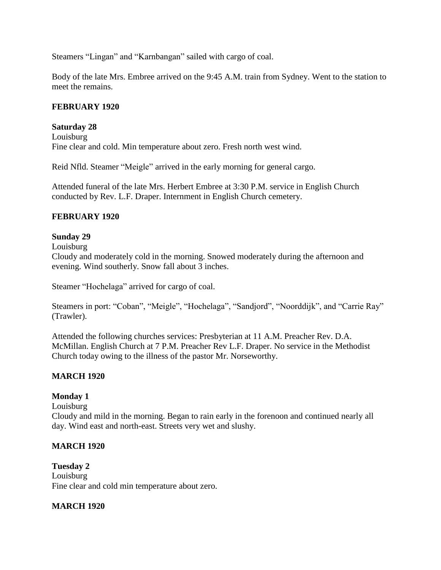Steamers "Lingan" and "Karnbangan" sailed with cargo of coal.

Body of the late Mrs. Embree arrived on the 9:45 A.M. train from Sydney. Went to the station to meet the remains.

### **FEBRUARY 1920**

#### **Saturday 28**

Louisburg Fine clear and cold. Min temperature about zero. Fresh north west wind.

Reid Nfld. Steamer "Meigle" arrived in the early morning for general cargo.

Attended funeral of the late Mrs. Herbert Embree at 3:30 P.M. service in English Church conducted by Rev. L.F. Draper. Internment in English Church cemetery.

#### **FEBRUARY 1920**

#### **Sunday 29**

Louisburg

Cloudy and moderately cold in the morning. Snowed moderately during the afternoon and evening. Wind southerly. Snow fall about 3 inches.

Steamer "Hochelaga" arrived for cargo of coal.

Steamers in port: "Coban", "Meigle", "Hochelaga", "Sandjord", "Noorddijk", and "Carrie Ray" (Trawler).

Attended the following churches services: Presbyterian at 11 A.M. Preacher Rev. D.A. McMillan. English Church at 7 P.M. Preacher Rev L.F. Draper. No service in the Methodist Church today owing to the illness of the pastor Mr. Norseworthy.

### **MARCH 1920**

#### **Monday 1**

Louisburg

Cloudy and mild in the morning. Began to rain early in the forenoon and continued nearly all day. Wind east and north-east. Streets very wet and slushy.

### **MARCH 1920**

**Tuesday 2** Louisburg Fine clear and cold min temperature about zero.

#### **MARCH 1920**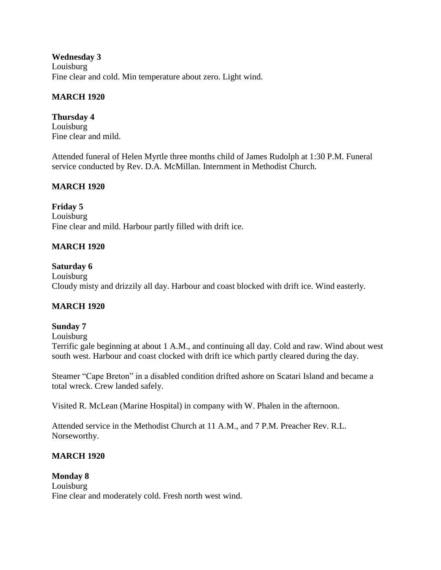**Wednesday 3** Louisburg Fine clear and cold. Min temperature about zero. Light wind.

### **MARCH 1920**

**Thursday 4** Louisburg Fine clear and mild.

Attended funeral of Helen Myrtle three months child of James Rudolph at 1:30 P.M. Funeral service conducted by Rev. D.A. McMillan. Internment in Methodist Church.

### **MARCH 1920**

**Friday 5** Louisburg Fine clear and mild. Harbour partly filled with drift ice.

### **MARCH 1920**

#### **Saturday 6**

Louisburg Cloudy misty and drizzily all day. Harbour and coast blocked with drift ice. Wind easterly.

### **MARCH 1920**

#### **Sunday 7**

Louisburg

Terrific gale beginning at about 1 A.M., and continuing all day. Cold and raw. Wind about west south west. Harbour and coast clocked with drift ice which partly cleared during the day.

Steamer "Cape Breton" in a disabled condition drifted ashore on Scatari Island and became a total wreck. Crew landed safely.

Visited R. McLean (Marine Hospital) in company with W. Phalen in the afternoon.

Attended service in the Methodist Church at 11 A.M., and 7 P.M. Preacher Rev. R.L. Norseworthy.

### **MARCH 1920**

**Monday 8** Louisburg Fine clear and moderately cold. Fresh north west wind.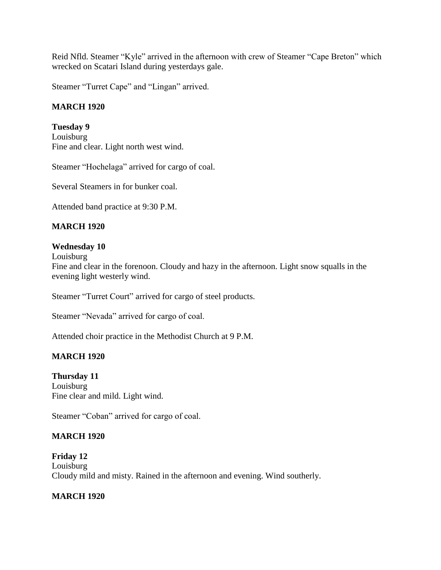Reid Nfld. Steamer "Kyle" arrived in the afternoon with crew of Steamer "Cape Breton" which wrecked on Scatari Island during yesterdays gale.

Steamer "Turret Cape" and "Lingan" arrived.

### **MARCH 1920**

### **Tuesday 9**

Louisburg Fine and clear. Light north west wind.

Steamer "Hochelaga" arrived for cargo of coal.

Several Steamers in for bunker coal.

Attended band practice at 9:30 P.M.

#### **MARCH 1920**

#### **Wednesday 10**

Louisburg

Fine and clear in the forenoon. Cloudy and hazy in the afternoon. Light snow squalls in the evening light westerly wind.

Steamer "Turret Court" arrived for cargo of steel products.

Steamer "Nevada" arrived for cargo of coal.

Attended choir practice in the Methodist Church at 9 P.M.

### **MARCH 1920**

#### **Thursday 11** Louisburg Fine clear and mild. Light wind.

Steamer "Coban" arrived for cargo of coal.

### **MARCH 1920**

**Friday 12** Louisburg Cloudy mild and misty. Rained in the afternoon and evening. Wind southerly.

### **MARCH 1920**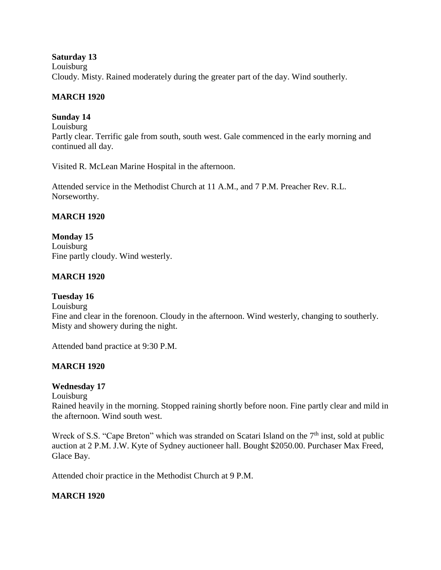#### **Saturday 13**

Louisburg Cloudy. Misty. Rained moderately during the greater part of the day. Wind southerly.

### **MARCH 1920**

# **Sunday 14**

Louisburg Partly clear. Terrific gale from south, south west. Gale commenced in the early morning and continued all day.

Visited R. McLean Marine Hospital in the afternoon.

Attended service in the Methodist Church at 11 A.M., and 7 P.M. Preacher Rev. R.L. Norseworthy.

### **MARCH 1920**

**Monday 15** Louisburg Fine partly cloudy. Wind westerly.

### **MARCH 1920**

### **Tuesday 16**

Louisburg

Fine and clear in the forenoon. Cloudy in the afternoon. Wind westerly, changing to southerly. Misty and showery during the night.

Attended band practice at 9:30 P.M.

### **MARCH 1920**

### **Wednesday 17**

Louisburg

Rained heavily in the morning. Stopped raining shortly before noon. Fine partly clear and mild in the afternoon. Wind south west.

Wreck of S.S. "Cape Breton" which was stranded on Scatari Island on the  $7<sup>th</sup>$  inst, sold at public auction at 2 P.M. J.W. Kyte of Sydney auctioneer hall. Bought \$2050.00. Purchaser Max Freed, Glace Bay.

Attended choir practice in the Methodist Church at 9 P.M.

### **MARCH 1920**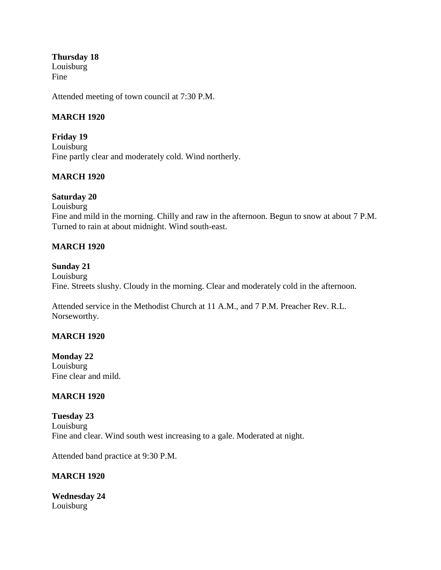**Thursday 18** Louisburg Fine

Attended meeting of town council at 7:30 P.M.

#### **MARCH 1920**

**Friday 19** Louisburg Fine partly clear and moderately cold. Wind northerly.

#### **MARCH 1920**

#### **Saturday 20**

Louisburg Fine and mild in the morning. Chilly and raw in the afternoon. Begun to snow at about 7 P.M. Turned to rain at about midnight. Wind south-east.

#### **MARCH 1920**

#### **Sunday 21**

Louisburg Fine. Streets slushy. Cloudy in the morning. Clear and moderately cold in the afternoon.

Attended service in the Methodist Church at 11 A.M., and 7 P.M. Preacher Rev. R.L. Norseworthy.

#### **MARCH 1920**

**Monday 22** Louisburg Fine clear and mild.

#### **MARCH 1920**

**Tuesday 23** Louisburg Fine and clear. Wind south west increasing to a gale. Moderated at night.

Attended band practice at 9:30 P.M.

#### **MARCH 1920**

**Wednesday 24** Louisburg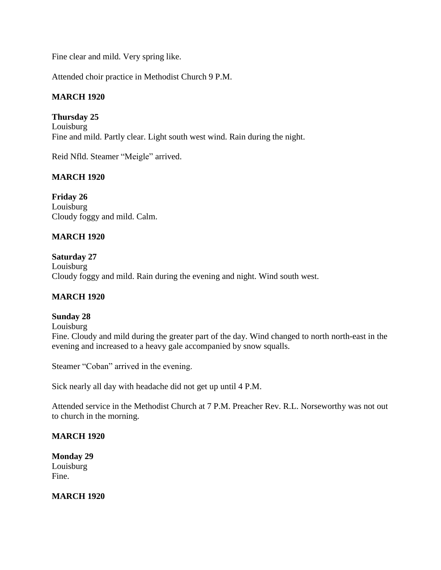Fine clear and mild. Very spring like.

Attended choir practice in Methodist Church 9 P.M.

### **MARCH 1920**

**Thursday 25** Louisburg Fine and mild. Partly clear. Light south west wind. Rain during the night.

Reid Nfld. Steamer "Meigle" arrived.

### **MARCH 1920**

**Friday 26** Louisburg Cloudy foggy and mild. Calm.

### **MARCH 1920**

**Saturday 27** Louisburg Cloudy foggy and mild. Rain during the evening and night. Wind south west.

### **MARCH 1920**

#### **Sunday 28**

Louisburg

Fine. Cloudy and mild during the greater part of the day. Wind changed to north north-east in the evening and increased to a heavy gale accompanied by snow squalls.

Steamer "Coban" arrived in the evening.

Sick nearly all day with headache did not get up until 4 P.M.

Attended service in the Methodist Church at 7 P.M. Preacher Rev. R.L. Norseworthy was not out to church in the morning.

#### **MARCH 1920**

**Monday 29** Louisburg Fine.

**MARCH 1920**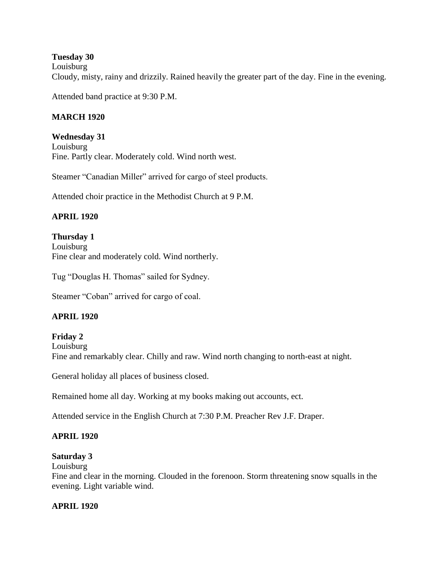#### **Tuesday 30**

Louisburg

Cloudy, misty, rainy and drizzily. Rained heavily the greater part of the day. Fine in the evening.

Attended band practice at 9:30 P.M.

### **MARCH 1920**

**Wednesday 31** Louisburg Fine. Partly clear. Moderately cold. Wind north west.

Steamer "Canadian Miller" arrived for cargo of steel products.

Attended choir practice in the Methodist Church at 9 P.M.

### **APRIL 1920**

**Thursday 1** Louisburg Fine clear and moderately cold. Wind northerly.

Tug "Douglas H. Thomas" sailed for Sydney.

Steamer "Coban" arrived for cargo of coal.

# **APRIL 1920**

**Friday 2** Louisburg Fine and remarkably clear. Chilly and raw. Wind north changing to north-east at night.

General holiday all places of business closed.

Remained home all day. Working at my books making out accounts, ect.

Attended service in the English Church at 7:30 P.M. Preacher Rev J.F. Draper.

### **APRIL 1920**

#### **Saturday 3**

Louisburg

Fine and clear in the morning. Clouded in the forenoon. Storm threatening snow squalls in the evening. Light variable wind.

### **APRIL 1920**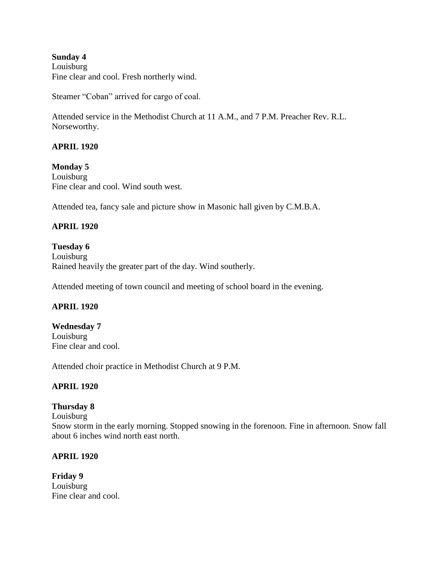#### **Sunday 4** Louisburg Fine clear and cool. Fresh northerly wind.

Steamer "Coban" arrived for cargo of coal.

Attended service in the Methodist Church at 11 A.M., and 7 P.M. Preacher Rev. R.L. Norseworthy.

### **APRIL 1920**

# **Monday 5**

Louisburg Fine clear and cool. Wind south west.

Attended tea, fancy sale and picture show in Masonic hall given by C.M.B.A.

### **APRIL 1920**

#### **Tuesday 6**

Louisburg Rained heavily the greater part of the day. Wind southerly.

Attended meeting of town council and meeting of school board in the evening.

### **APRIL 1920**

**Wednesday 7** Louisburg Fine clear and cool.

Attended choir practice in Methodist Church at 9 P.M.

### **APRIL 1920**

### **Thursday 8**

Louisburg

Snow storm in the early morning. Stopped snowing in the forenoon. Fine in afternoon. Snow fall about 6 inches wind north east north.

### **APRIL 1920**

**Friday 9** Louisburg Fine clear and cool.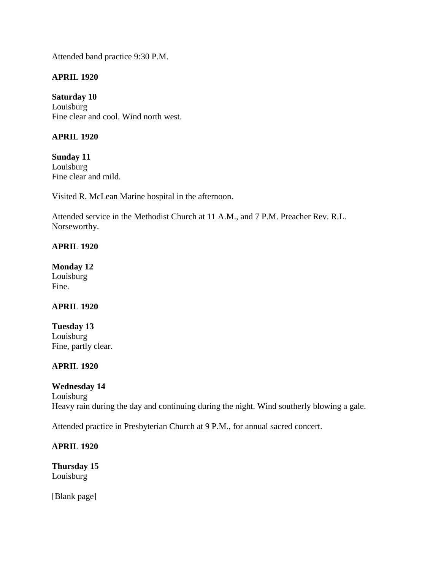Attended band practice 9:30 P.M.

### **APRIL 1920**

**Saturday 10** Louisburg Fine clear and cool. Wind north west.

### **APRIL 1920**

**Sunday 11** Louisburg Fine clear and mild.

Visited R. McLean Marine hospital in the afternoon.

Attended service in the Methodist Church at 11 A.M., and 7 P.M. Preacher Rev. R.L. Norseworthy.

### **APRIL 1920**

**Monday 12** Louisburg Fine.

### **APRIL 1920**

**Tuesday 13** Louisburg Fine, partly clear.

### **APRIL 1920**

### **Wednesday 14**

Louisburg Heavy rain during the day and continuing during the night. Wind southerly blowing a gale.

Attended practice in Presbyterian Church at 9 P.M., for annual sacred concert.

### **APRIL 1920**

**Thursday 15** Louisburg

[Blank page]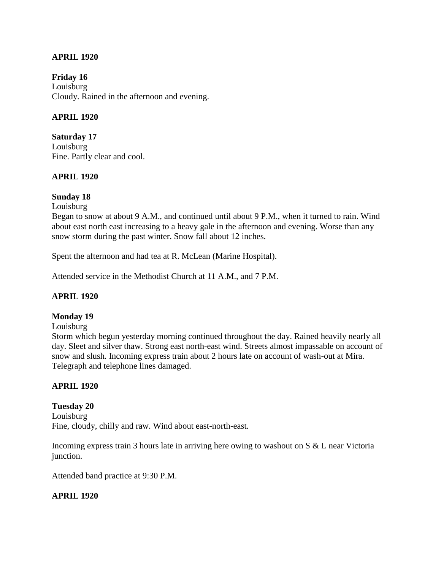#### **APRIL 1920**

**Friday 16** Louisburg Cloudy. Rained in the afternoon and evening.

#### **APRIL 1920**

**Saturday 17** Louisburg Fine. Partly clear and cool.

#### **APRIL 1920**

#### **Sunday 18**

Louisburg

Began to snow at about 9 A.M., and continued until about 9 P.M., when it turned to rain. Wind about east north east increasing to a heavy gale in the afternoon and evening. Worse than any snow storm during the past winter. Snow fall about 12 inches.

Spent the afternoon and had tea at R. McLean (Marine Hospital).

Attended service in the Methodist Church at 11 A.M., and 7 P.M.

#### **APRIL 1920**

#### **Monday 19**

Louisburg

Storm which begun yesterday morning continued throughout the day. Rained heavily nearly all day. Sleet and silver thaw. Strong east north-east wind. Streets almost impassable on account of snow and slush. Incoming express train about 2 hours late on account of wash-out at Mira. Telegraph and telephone lines damaged.

#### **APRIL 1920**

**Tuesday 20** Louisburg Fine, cloudy, chilly and raw. Wind about east-north-east.

Incoming express train 3 hours late in arriving here owing to washout on S & L near Victoria junction.

Attended band practice at 9:30 P.M.

#### **APRIL 1920**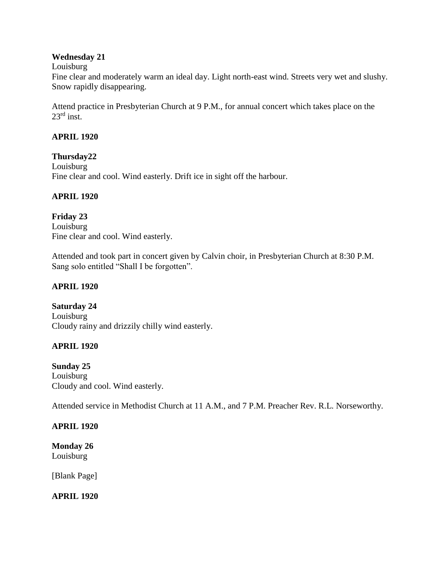### **Wednesday 21**

Louisburg

Fine clear and moderately warm an ideal day. Light north-east wind. Streets very wet and slushy. Snow rapidly disappearing.

Attend practice in Presbyterian Church at 9 P.M., for annual concert which takes place on the  $23^{\text{rd}}$  inst.

# **APRIL 1920**

### **Thursday22**

Louisburg Fine clear and cool. Wind easterly. Drift ice in sight off the harbour.

### **APRIL 1920**

**Friday 23** Louisburg Fine clear and cool. Wind easterly.

Attended and took part in concert given by Calvin choir, in Presbyterian Church at 8:30 P.M. Sang solo entitled "Shall I be forgotten".

# **APRIL 1920**

**Saturday 24** Louisburg Cloudy rainy and drizzily chilly wind easterly.

# **APRIL 1920**

**Sunday 25** Louisburg Cloudy and cool. Wind easterly.

Attended service in Methodist Church at 11 A.M., and 7 P.M. Preacher Rev. R.L. Norseworthy.

# **APRIL 1920**

**Monday 26** Louisburg

[Blank Page]

**APRIL 1920**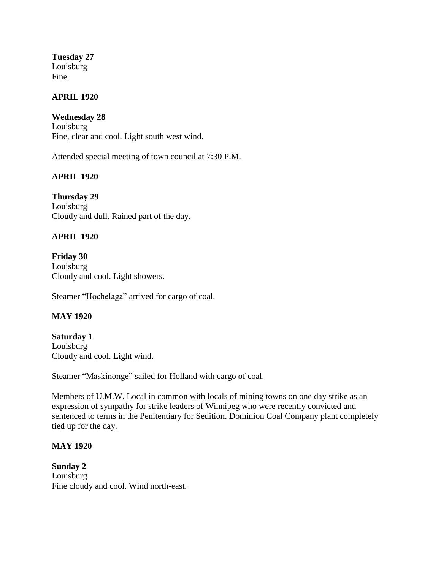**Tuesday 27** Louisburg Fine.

### **APRIL 1920**

**Wednesday 28** Louisburg Fine, clear and cool. Light south west wind.

Attended special meeting of town council at 7:30 P.M.

#### **APRIL 1920**

**Thursday 29** Louisburg Cloudy and dull. Rained part of the day.

### **APRIL 1920**

**Friday 30** Louisburg Cloudy and cool. Light showers.

Steamer "Hochelaga" arrived for cargo of coal.

#### **MAY 1920**

**Saturday 1** Louisburg Cloudy and cool. Light wind.

Steamer "Maskinonge" sailed for Holland with cargo of coal.

Members of U.M.W. Local in common with locals of mining towns on one day strike as an expression of sympathy for strike leaders of Winnipeg who were recently convicted and sentenced to terms in the Penitentiary for Sedition. Dominion Coal Company plant completely tied up for the day.

#### **MAY 1920**

**Sunday 2** Louisburg Fine cloudy and cool. Wind north-east.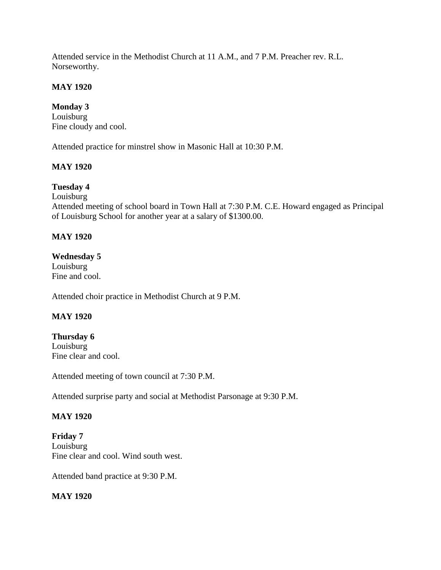Attended service in the Methodist Church at 11 A.M., and 7 P.M. Preacher rev. R.L. Norseworthy.

### **MAY 1920**

# **Monday 3**

Louisburg Fine cloudy and cool.

Attended practice for minstrel show in Masonic Hall at 10:30 P.M.

# **MAY 1920**

# **Tuesday 4**

Louisburg

Attended meeting of school board in Town Hall at 7:30 P.M. C.E. Howard engaged as Principal of Louisburg School for another year at a salary of \$1300.00.

### **MAY 1920**

### **Wednesday 5**

Louisburg Fine and cool.

Attended choir practice in Methodist Church at 9 P.M.

### **MAY 1920**

# **Thursday 6**

Louisburg Fine clear and cool.

Attended meeting of town council at 7:30 P.M.

Attended surprise party and social at Methodist Parsonage at 9:30 P.M.

### **MAY 1920**

**Friday 7** Louisburg Fine clear and cool. Wind south west.

Attended band practice at 9:30 P.M.

### **MAY 1920**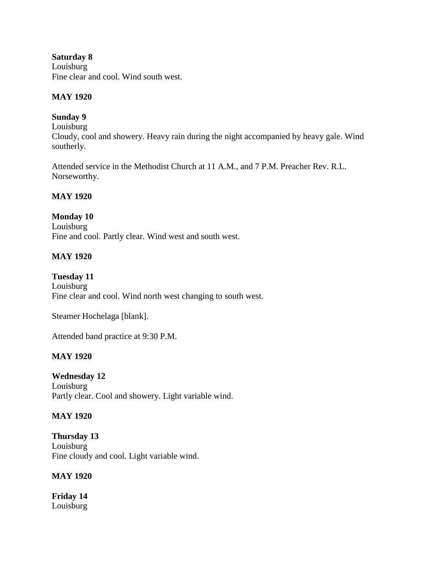**Saturday 8** Louisburg Fine clear and cool. Wind south west.

### **MAY 1920**

### **Sunday 9**

Louisburg Cloudy, cool and showery. Heavy rain during the night accompanied by heavy gale. Wind southerly.

Attended service in the Methodist Church at 11 A.M., and 7 P.M. Preacher Rev. R.L. Norseworthy.

#### **MAY 1920**

#### **Monday 10**

Louisburg Fine and cool. Partly clear. Wind west and south west.

#### **MAY 1920**

#### **Tuesday 11**

Louisburg Fine clear and cool. Wind north west changing to south west.

Steamer Hochelaga [blank].

Attended band practice at 9:30 P.M.

### **MAY 1920**

**Wednesday 12** Louisburg Partly clear. Cool and showery. Light variable wind.

#### **MAY 1920**

**Thursday 13** Louisburg Fine cloudy and cool. Light variable wind.

#### **MAY 1920**

**Friday 14** Louisburg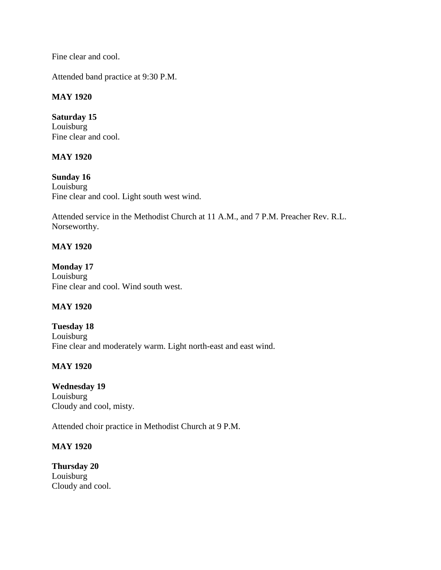Fine clear and cool.

Attended band practice at 9:30 P.M.

### **MAY 1920**

**Saturday 15** Louisburg Fine clear and cool.

#### **MAY 1920**

**Sunday 16** Louisburg Fine clear and cool. Light south west wind.

Attended service in the Methodist Church at 11 A.M., and 7 P.M. Preacher Rev. R.L. Norseworthy.

### **MAY 1920**

**Monday 17** Louisburg Fine clear and cool. Wind south west.

### **MAY 1920**

**Tuesday 18** Louisburg Fine clear and moderately warm. Light north-east and east wind.

### **MAY 1920**

**Wednesday 19** Louisburg Cloudy and cool, misty.

Attended choir practice in Methodist Church at 9 P.M.

### **MAY 1920**

**Thursday 20** Louisburg Cloudy and cool.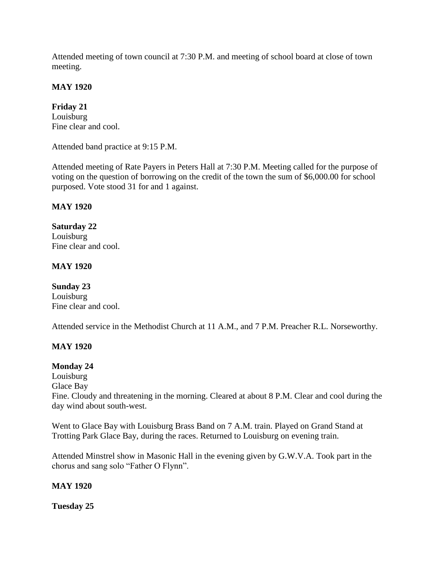Attended meeting of town council at 7:30 P.M. and meeting of school board at close of town meeting.

### **MAY 1920**

**Friday 21** Louisburg Fine clear and cool.

Attended band practice at 9:15 P.M.

Attended meeting of Rate Payers in Peters Hall at 7:30 P.M. Meeting called for the purpose of voting on the question of borrowing on the credit of the town the sum of \$6,000.00 for school purposed. Vote stood 31 for and 1 against.

### **MAY 1920**

**Saturday 22** Louisburg Fine clear and cool.

### **MAY 1920**

**Sunday 23** Louisburg Fine clear and cool.

Attended service in the Methodist Church at 11 A.M., and 7 P.M. Preacher R.L. Norseworthy.

### **MAY 1920**

#### **Monday 24**

Louisburg Glace Bay Fine. Cloudy and threatening in the morning. Cleared at about 8 P.M. Clear and cool during the day wind about south-west.

Went to Glace Bay with Louisburg Brass Band on 7 A.M. train. Played on Grand Stand at Trotting Park Glace Bay, during the races. Returned to Louisburg on evening train.

Attended Minstrel show in Masonic Hall in the evening given by G.W.V.A. Took part in the chorus and sang solo "Father O Flynn".

#### **MAY 1920**

**Tuesday 25**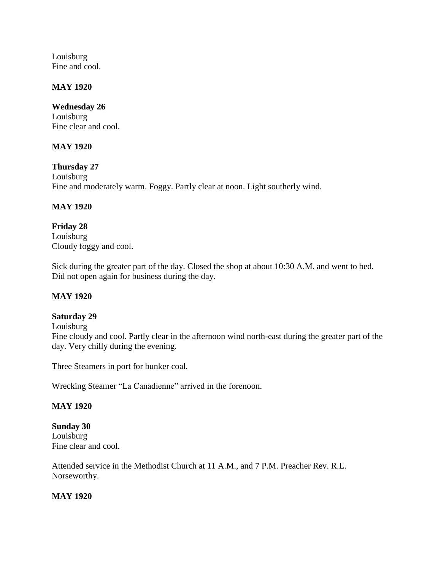Louisburg Fine and cool.

### **MAY 1920**

**Wednesday 26** Louisburg Fine clear and cool.

### **MAY 1920**

**Thursday 27** Louisburg Fine and moderately warm. Foggy. Partly clear at noon. Light southerly wind.

### **MAY 1920**

**Friday 28** Louisburg Cloudy foggy and cool.

Sick during the greater part of the day. Closed the shop at about 10:30 A.M. and went to bed. Did not open again for business during the day.

### **MAY 1920**

#### **Saturday 29**

Louisburg

Fine cloudy and cool. Partly clear in the afternoon wind north-east during the greater part of the day. Very chilly during the evening.

Three Steamers in port for bunker coal.

Wrecking Steamer "La Canadienne" arrived in the forenoon.

#### **MAY 1920**

**Sunday 30** Louisburg Fine clear and cool.

Attended service in the Methodist Church at 11 A.M., and 7 P.M. Preacher Rev. R.L. Norseworthy.

#### **MAY 1920**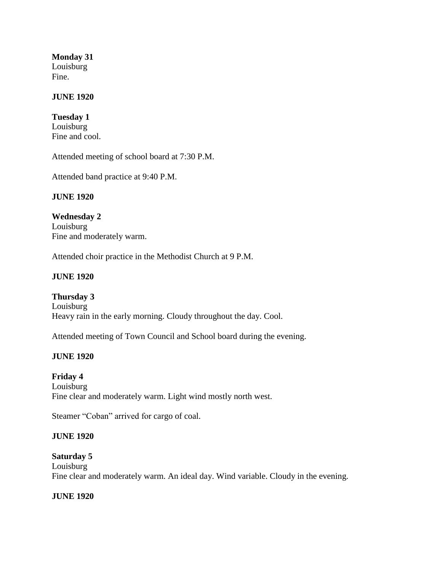**Monday 31** Louisburg Fine.

### **JUNE 1920**

**Tuesday 1** Louisburg Fine and cool.

Attended meeting of school board at 7:30 P.M.

Attended band practice at 9:40 P.M.

#### **JUNE 1920**

**Wednesday 2** Louisburg Fine and moderately warm.

Attended choir practice in the Methodist Church at 9 P.M.

#### **JUNE 1920**

**Thursday 3** Louisburg Heavy rain in the early morning. Cloudy throughout the day. Cool.

Attended meeting of Town Council and School board during the evening.

### **JUNE 1920**

### **Friday 4**

Louisburg Fine clear and moderately warm. Light wind mostly north west.

Steamer "Coban" arrived for cargo of coal.

#### **JUNE 1920**

### **Saturday 5**

Louisburg Fine clear and moderately warm. An ideal day. Wind variable. Cloudy in the evening.

#### **JUNE 1920**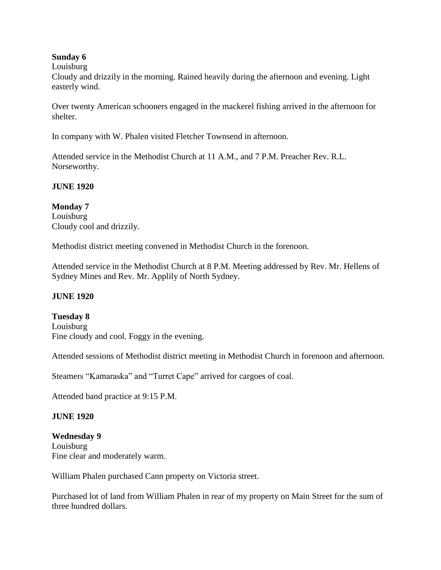### **Sunday 6**

#### Louisburg

Cloudy and drizzily in the morning. Rained heavily during the afternoon and evening. Light easterly wind.

Over twenty American schooners engaged in the mackerel fishing arrived in the afternoon for shelter.

In company with W. Phalen visited Fletcher Townsend in afternoon.

Attended service in the Methodist Church at 11 A.M., and 7 P.M. Preacher Rev. R.L. Norseworthy.

### **JUNE 1920**

**Monday 7** Louisburg Cloudy cool and drizzily.

Methodist district meeting convened in Methodist Church in the forenoon.

Attended service in the Methodist Church at 8 P.M. Meeting addressed by Rev. Mr. Hellens of Sydney Mines and Rev. Mr. Applily of North Sydney.

### **JUNE 1920**

**Tuesday 8** Louisburg Fine cloudy and cool. Foggy in the evening.

Attended sessions of Methodist district meeting in Methodist Church in forenoon and afternoon.

Steamers "Kamaraska" and "Turret Cape" arrived for cargoes of coal.

Attended band practice at 9:15 P.M.

### **JUNE 1920**

### **Wednesday 9**

Louisburg Fine clear and moderately warm.

William Phalen purchased Cann property on Victoria street.

Purchased lot of land from William Phalen in rear of my property on Main Street for the sum of three hundred dollars.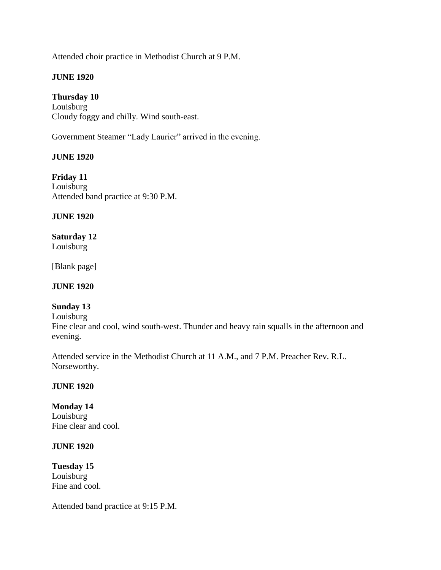Attended choir practice in Methodist Church at 9 P.M.

### **JUNE 1920**

### **Thursday 10**

Louisburg Cloudy foggy and chilly. Wind south-east.

Government Steamer "Lady Laurier" arrived in the evening.

#### **JUNE 1920**

**Friday 11** Louisburg Attended band practice at 9:30 P.M.

#### **JUNE 1920**

**Saturday 12** Louisburg

[Blank page]

### **JUNE 1920**

# **Sunday 13**

Louisburg

Fine clear and cool, wind south-west. Thunder and heavy rain squalls in the afternoon and evening.

Attended service in the Methodist Church at 11 A.M., and 7 P.M. Preacher Rev. R.L. Norseworthy.

#### **JUNE 1920**

# **Monday 14**

Louisburg Fine clear and cool.

#### **JUNE 1920**

**Tuesday 15** Louisburg Fine and cool.

Attended band practice at 9:15 P.M.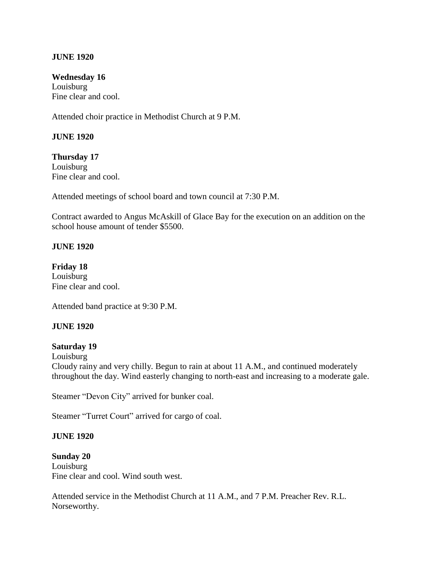#### **JUNE 1920**

**Wednesday 16** Louisburg Fine clear and cool.

Attended choir practice in Methodist Church at 9 P.M.

#### **JUNE 1920**

**Thursday 17** Louisburg Fine clear and cool.

Attended meetings of school board and town council at 7:30 P.M.

Contract awarded to Angus McAskill of Glace Bay for the execution on an addition on the school house amount of tender \$5500.

#### **JUNE 1920**

**Friday 18** Louisburg Fine clear and cool.

Attended band practice at 9:30 P.M.

#### **JUNE 1920**

#### **Saturday 19**

Louisburg Cloudy rainy and very chilly. Begun to rain at about 11 A.M., and continued moderately throughout the day. Wind easterly changing to north-east and increasing to a moderate gale.

Steamer "Devon City" arrived for bunker coal.

Steamer "Turret Court" arrived for cargo of coal.

#### **JUNE 1920**

**Sunday 20** Louisburg Fine clear and cool. Wind south west.

Attended service in the Methodist Church at 11 A.M., and 7 P.M. Preacher Rev. R.L. Norseworthy.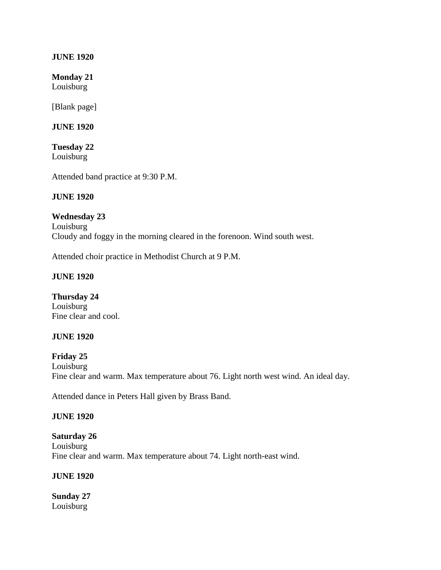#### **JUNE 1920**

**Monday 21**

Louisburg

[Blank page]

**JUNE 1920**

**Tuesday 22** Louisburg

Attended band practice at 9:30 P.M.

#### **JUNE 1920**

### **Wednesday 23**

Louisburg Cloudy and foggy in the morning cleared in the forenoon. Wind south west.

Attended choir practice in Methodist Church at 9 P.M.

#### **JUNE 1920**

**Thursday 24** Louisburg Fine clear and cool.

### **JUNE 1920**

**Friday 25** Louisburg Fine clear and warm. Max temperature about 76. Light north west wind. An ideal day.

Attended dance in Peters Hall given by Brass Band.

#### **JUNE 1920**

**Saturday 26** Louisburg Fine clear and warm. Max temperature about 74. Light north-east wind.

### **JUNE 1920**

**Sunday 27** Louisburg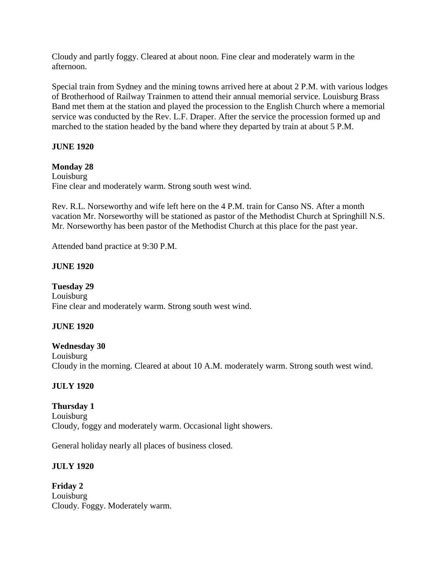Cloudy and partly foggy. Cleared at about noon. Fine clear and moderately warm in the afternoon.

Special train from Sydney and the mining towns arrived here at about 2 P.M. with various lodges of Brotherhood of Railway Trainmen to attend their annual memorial service. Louisburg Brass Band met them at the station and played the procession to the English Church where a memorial service was conducted by the Rev. L.F. Draper. After the service the procession formed up and marched to the station headed by the band where they departed by train at about 5 P.M.

### **JUNE 1920**

#### **Monday 28**

Louisburg Fine clear and moderately warm. Strong south west wind.

Rev. R.L. Norseworthy and wife left here on the 4 P.M. train for Canso NS. After a month vacation Mr. Norseworthy will be stationed as pastor of the Methodist Church at Springhill N.S. Mr. Norseworthy has been pastor of the Methodist Church at this place for the past year.

Attended band practice at 9:30 P.M.

#### **JUNE 1920**

**Tuesday 29** Louisburg Fine clear and moderately warm. Strong south west wind.

### **JUNE 1920**

### **Wednesday 30**

Louisburg Cloudy in the morning. Cleared at about 10 A.M. moderately warm. Strong south west wind.

### **JULY 1920**

### **Thursday 1**

Louisburg Cloudy, foggy and moderately warm. Occasional light showers.

General holiday nearly all places of business closed.

### **JULY 1920**

**Friday 2** Louisburg Cloudy. Foggy. Moderately warm.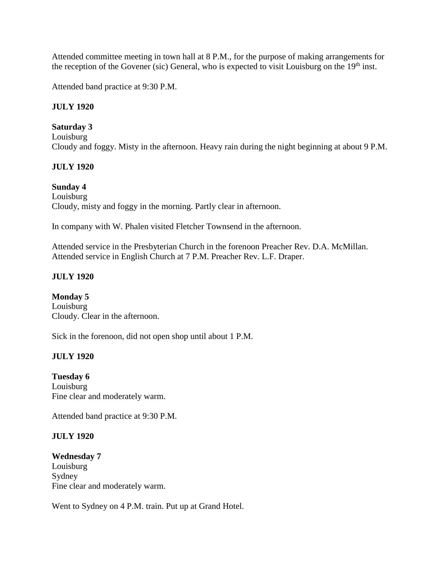Attended committee meeting in town hall at 8 P.M., for the purpose of making arrangements for the reception of the Govener (sic) General, who is expected to visit Louisburg on the  $19<sup>th</sup>$  inst.

Attended band practice at 9:30 P.M.

### **JULY 1920**

### **Saturday 3**

Louisburg Cloudy and foggy. Misty in the afternoon. Heavy rain during the night beginning at about 9 P.M.

### **JULY 1920**

# **Sunday 4**

Louisburg Cloudy, misty and foggy in the morning. Partly clear in afternoon.

In company with W. Phalen visited Fletcher Townsend in the afternoon.

Attended service in the Presbyterian Church in the forenoon Preacher Rev. D.A. McMillan. Attended service in English Church at 7 P.M. Preacher Rev. L.F. Draper.

### **JULY 1920**

**Monday 5** Louisburg Cloudy. Clear in the afternoon.

Sick in the forenoon, did not open shop until about 1 P.M.

# **JULY 1920**

**Tuesday 6** Louisburg Fine clear and moderately warm.

Attended band practice at 9:30 P.M.

### **JULY 1920**

**Wednesday 7** Louisburg Sydney Fine clear and moderately warm.

Went to Sydney on 4 P.M. train. Put up at Grand Hotel.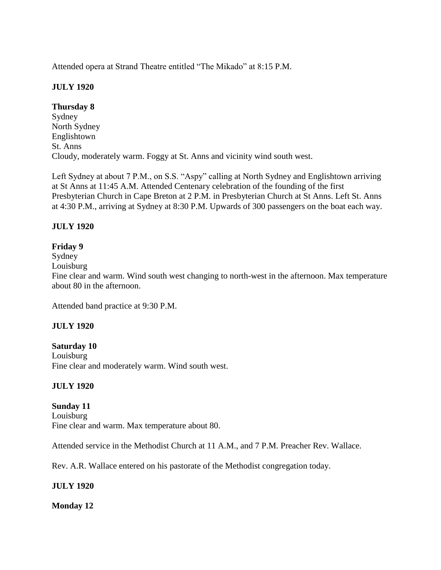Attended opera at Strand Theatre entitled "The Mikado" at 8:15 P.M.

# **JULY 1920**

# **Thursday 8**

Sydney North Sydney Englishtown St. Anns Cloudy, moderately warm. Foggy at St. Anns and vicinity wind south west.

Left Sydney at about 7 P.M., on S.S. "Aspy" calling at North Sydney and Englishtown arriving at St Anns at 11:45 A.M. Attended Centenary celebration of the founding of the first Presbyterian Church in Cape Breton at 2 P.M. in Presbyterian Church at St Anns. Left St. Anns at 4:30 P.M., arriving at Sydney at 8:30 P.M. Upwards of 300 passengers on the boat each way.

### **JULY 1920**

### **Friday 9**

Sydney

Louisburg

Fine clear and warm. Wind south west changing to north-west in the afternoon. Max temperature about 80 in the afternoon.

Attended band practice at 9:30 P.M.

### **JULY 1920**

### **Saturday 10**

Louisburg Fine clear and moderately warm. Wind south west.

### **JULY 1920**

# **Sunday 11**

Louisburg Fine clear and warm. Max temperature about 80.

Attended service in the Methodist Church at 11 A.M., and 7 P.M. Preacher Rev. Wallace.

Rev. A.R. Wallace entered on his pastorate of the Methodist congregation today.

### **JULY 1920**

### **Monday 12**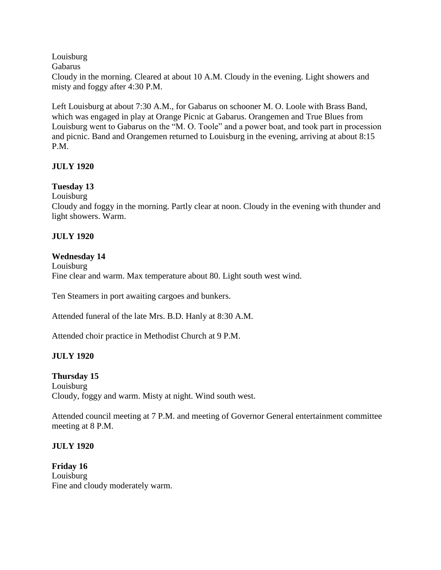Louisburg

Gabarus

Cloudy in the morning. Cleared at about 10 A.M. Cloudy in the evening. Light showers and misty and foggy after 4:30 P.M.

Left Louisburg at about 7:30 A.M., for Gabarus on schooner M. O. Loole with Brass Band, which was engaged in play at Orange Picnic at Gabarus. Orangemen and True Blues from Louisburg went to Gabarus on the "M. O. Toole" and a power boat, and took part in procession and picnic. Band and Orangemen returned to Louisburg in the evening, arriving at about 8:15 P.M.

### **JULY 1920**

# **Tuesday 13**

Louisburg

Cloudy and foggy in the morning. Partly clear at noon. Cloudy in the evening with thunder and light showers. Warm.

### **JULY 1920**

### **Wednesday 14**

Louisburg Fine clear and warm. Max temperature about 80. Light south west wind.

Ten Steamers in port awaiting cargoes and bunkers.

Attended funeral of the late Mrs. B.D. Hanly at 8:30 A.M.

Attended choir practice in Methodist Church at 9 P.M.

# **JULY 1920**

### **Thursday 15**

Louisburg Cloudy, foggy and warm. Misty at night. Wind south west.

Attended council meeting at 7 P.M. and meeting of Governor General entertainment committee meeting at 8 P.M.

# **JULY 1920**

**Friday 16** Louisburg Fine and cloudy moderately warm.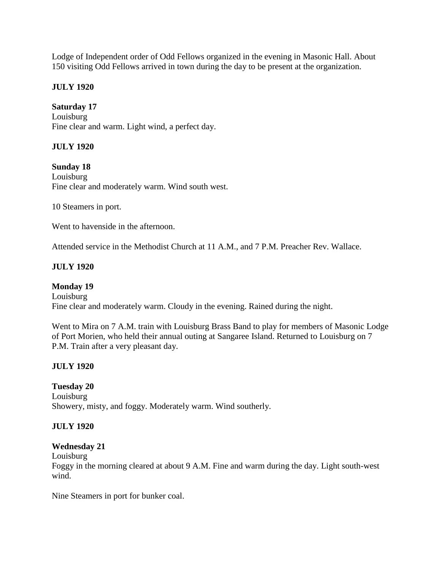Lodge of Independent order of Odd Fellows organized in the evening in Masonic Hall. About 150 visiting Odd Fellows arrived in town during the day to be present at the organization.

### **JULY 1920**

#### **Saturday 17**

Louisburg Fine clear and warm. Light wind, a perfect day.

### **JULY 1920**

**Sunday 18** Louisburg Fine clear and moderately warm. Wind south west.

10 Steamers in port.

Went to havenside in the afternoon.

Attended service in the Methodist Church at 11 A.M., and 7 P.M. Preacher Rev. Wallace.

#### **JULY 1920**

### **Monday 19** Louisburg Fine clear and moderately warm. Cloudy in the evening. Rained during the night.

Went to Mira on 7 A.M. train with Louisburg Brass Band to play for members of Masonic Lodge of Port Morien, who held their annual outing at Sangaree Island. Returned to Louisburg on 7 P.M. Train after a very pleasant day.

### **JULY 1920**

### **Tuesday 20**

Louisburg Showery, misty, and foggy. Moderately warm. Wind southerly.

### **JULY 1920**

#### **Wednesday 21**

Louisburg

Foggy in the morning cleared at about 9 A.M. Fine and warm during the day. Light south-west wind.

Nine Steamers in port for bunker coal.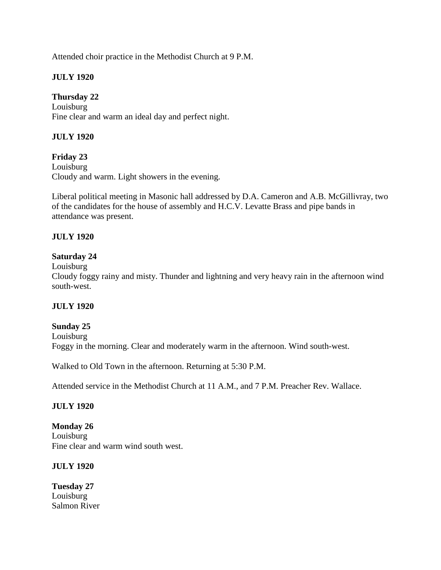Attended choir practice in the Methodist Church at 9 P.M.

### **JULY 1920**

### **Thursday 22**

Louisburg Fine clear and warm an ideal day and perfect night.

### **JULY 1920**

**Friday 23** Louisburg Cloudy and warm. Light showers in the evening.

Liberal political meeting in Masonic hall addressed by D.A. Cameron and A.B. McGillivray, two of the candidates for the house of assembly and H.C.V. Levatte Brass and pipe bands in attendance was present.

### **JULY 1920**

### **Saturday 24**

Louisburg

Cloudy foggy rainy and misty. Thunder and lightning and very heavy rain in the afternoon wind south-west.

#### **JULY 1920**

#### **Sunday 25** Louisburg Foggy in the morning. Clear and moderately warm in the afternoon. Wind south-west.

Walked to Old Town in the afternoon. Returning at 5:30 P.M.

Attended service in the Methodist Church at 11 A.M., and 7 P.M. Preacher Rev. Wallace.

### **JULY 1920**

**Monday 26** Louisburg Fine clear and warm wind south west.

### **JULY 1920**

**Tuesday 27** Louisburg Salmon River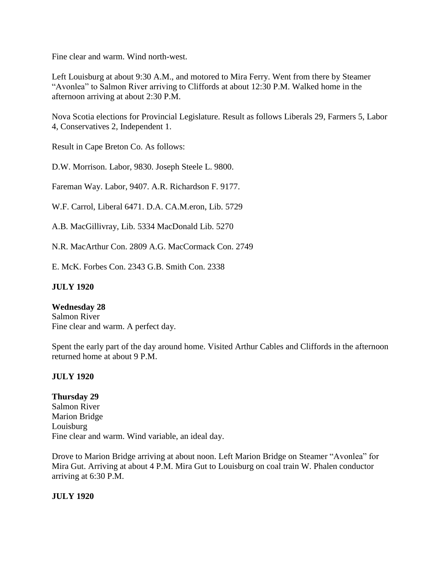Fine clear and warm. Wind north-west.

Left Louisburg at about 9:30 A.M., and motored to Mira Ferry. Went from there by Steamer "Avonlea" to Salmon River arriving to Cliffords at about 12:30 P.M. Walked home in the afternoon arriving at about 2:30 P.M.

Nova Scotia elections for Provincial Legislature. Result as follows Liberals 29, Farmers 5, Labor 4, Conservatives 2, Independent 1.

Result in Cape Breton Co. As follows:

D.W. Morrison. Labor, 9830. Joseph Steele L. 9800.

Fareman Way. Labor, 9407. A.R. Richardson F. 9177.

W.F. Carrol, Liberal 6471. D.A. CA.M.eron, Lib. 5729

A.B. MacGillivray, Lib. 5334 MacDonald Lib. 5270

N.R. MacArthur Con. 2809 A.G. MacCormack Con. 2749

E. McK. Forbes Con. 2343 G.B. Smith Con. 2338

#### **JULY 1920**

**Wednesday 28** Salmon River Fine clear and warm. A perfect day.

Spent the early part of the day around home. Visited Arthur Cables and Cliffords in the afternoon returned home at about 9 P.M.

#### **JULY 1920**

**Thursday 29** Salmon River Marion Bridge Louisburg Fine clear and warm. Wind variable, an ideal day.

Drove to Marion Bridge arriving at about noon. Left Marion Bridge on Steamer "Avonlea" for Mira Gut. Arriving at about 4 P.M. Mira Gut to Louisburg on coal train W. Phalen conductor arriving at 6:30 P.M.

**JULY 1920**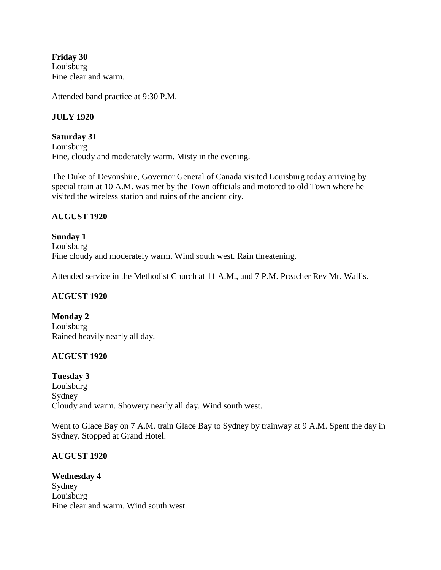**Friday 30** Louisburg Fine clear and warm.

Attended band practice at 9:30 P.M.

### **JULY 1920**

**Saturday 31** Louisburg Fine, cloudy and moderately warm. Misty in the evening.

The Duke of Devonshire, Governor General of Canada visited Louisburg today arriving by special train at 10 A.M. was met by the Town officials and motored to old Town where he visited the wireless station and ruins of the ancient city.

#### **AUGUST 1920**

**Sunday 1** Louisburg Fine cloudy and moderately warm. Wind south west. Rain threatening.

Attended service in the Methodist Church at 11 A.M., and 7 P.M. Preacher Rev Mr. Wallis.

### **AUGUST 1920**

**Monday 2** Louisburg Rained heavily nearly all day.

### **AUGUST 1920**

**Tuesday 3** Louisburg Sydney Cloudy and warm. Showery nearly all day. Wind south west.

Went to Glace Bay on 7 A.M. train Glace Bay to Sydney by trainway at 9 A.M. Spent the day in Sydney. Stopped at Grand Hotel.

### **AUGUST 1920**

**Wednesday 4** Sydney Louisburg Fine clear and warm. Wind south west.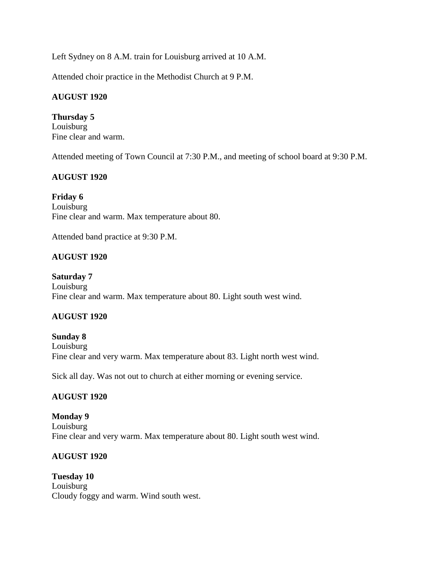Left Sydney on 8 A.M. train for Louisburg arrived at 10 A.M.

Attended choir practice in the Methodist Church at 9 P.M.

### **AUGUST 1920**

**Thursday 5** Louisburg Fine clear and warm.

Attended meeting of Town Council at 7:30 P.M., and meeting of school board at 9:30 P.M.

### **AUGUST 1920**

**Friday 6** Louisburg Fine clear and warm. Max temperature about 80.

Attended band practice at 9:30 P.M.

### **AUGUST 1920**

**Saturday 7** Louisburg Fine clear and warm. Max temperature about 80. Light south west wind.

### **AUGUST 1920**

#### **Sunday 8**

Louisburg Fine clear and very warm. Max temperature about 83. Light north west wind.

Sick all day. Was not out to church at either morning or evening service.

### **AUGUST 1920**

#### **Monday 9**

Louisburg Fine clear and very warm. Max temperature about 80. Light south west wind.

### **AUGUST 1920**

**Tuesday 10** Louisburg Cloudy foggy and warm. Wind south west.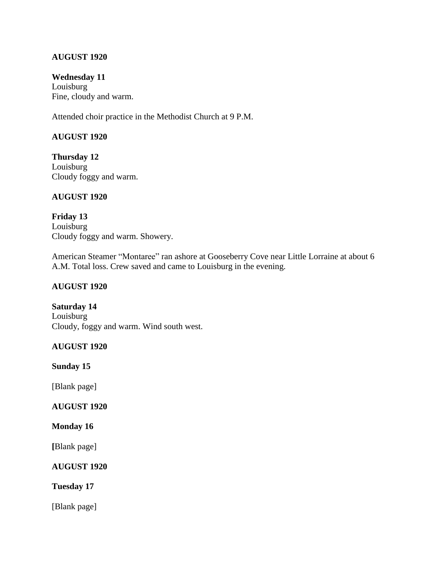### **AUGUST 1920**

**Wednesday 11** Louisburg Fine, cloudy and warm.

Attended choir practice in the Methodist Church at 9 P.M.

### **AUGUST 1920**

**Thursday 12** Louisburg Cloudy foggy and warm.

#### **AUGUST 1920**

**Friday 13** Louisburg Cloudy foggy and warm. Showery.

American Steamer "Montaree" ran ashore at Gooseberry Cove near Little Lorraine at about 6 A.M. Total loss. Crew saved and came to Louisburg in the evening.

#### **AUGUST 1920**

**Saturday 14** Louisburg Cloudy, foggy and warm. Wind south west.

### **AUGUST 1920**

**Sunday 15**

[Blank page]

### **AUGUST 1920**

#### **Monday 16**

**[**Blank page]

### **AUGUST 1920**

**Tuesday 17**

[Blank page]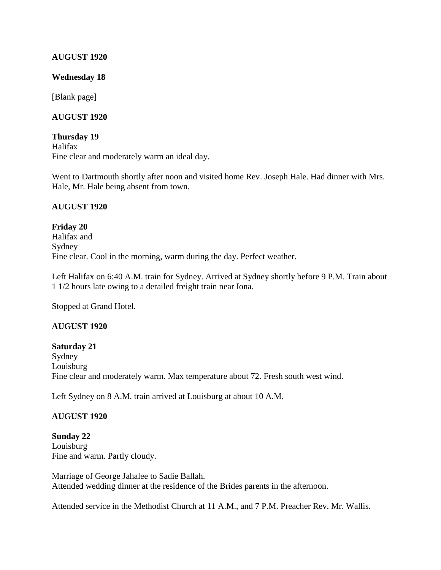#### **AUGUST 1920**

#### **Wednesday 18**

[Blank page]

#### **AUGUST 1920**

**Thursday 19** Halifax Fine clear and moderately warm an ideal day.

Went to Dartmouth shortly after noon and visited home Rev. Joseph Hale. Had dinner with Mrs. Hale, Mr. Hale being absent from town.

### **AUGUST 1920**

**Friday 20** Halifax and Sydney Fine clear. Cool in the morning, warm during the day. Perfect weather.

Left Halifax on 6:40 A.M. train for Sydney. Arrived at Sydney shortly before 9 P.M. Train about 1 1/2 hours late owing to a derailed freight train near Iona.

Stopped at Grand Hotel.

### **AUGUST 1920**

#### **Saturday 21**

Sydney Louisburg Fine clear and moderately warm. Max temperature about 72. Fresh south west wind.

Left Sydney on 8 A.M. train arrived at Louisburg at about 10 A.M.

#### **AUGUST 1920**

**Sunday 22** Louisburg Fine and warm. Partly cloudy.

Marriage of George Jahalee to Sadie Ballah. Attended wedding dinner at the residence of the Brides parents in the afternoon.

Attended service in the Methodist Church at 11 A.M., and 7 P.M. Preacher Rev. Mr. Wallis.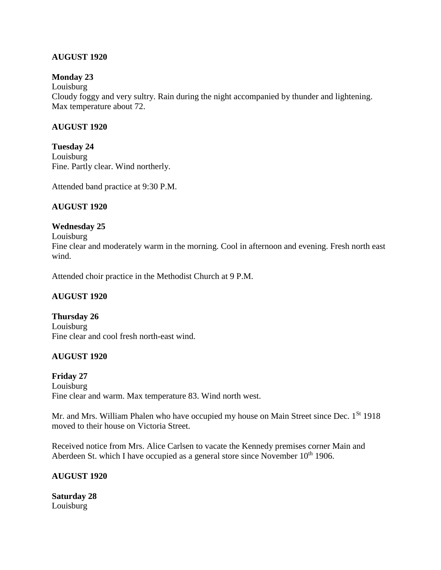### **AUGUST 1920**

### **Monday 23**

Louisburg

Cloudy foggy and very sultry. Rain during the night accompanied by thunder and lightening. Max temperature about 72.

### **AUGUST 1920**

**Tuesday 24** Louisburg Fine. Partly clear. Wind northerly.

Attended band practice at 9:30 P.M.

### **AUGUST 1920**

### **Wednesday 25**

Louisburg

Fine clear and moderately warm in the morning. Cool in afternoon and evening. Fresh north east wind.

Attended choir practice in the Methodist Church at 9 P.M.

### **AUGUST 1920**

**Thursday 26** Louisburg Fine clear and cool fresh north-east wind.

### **AUGUST 1920**

**Friday 27** Louisburg Fine clear and warm. Max temperature 83. Wind north west.

Mr. and Mrs. William Phalen who have occupied my house on Main Street since Dec. 1<sup>St</sup> 1918 moved to their house on Victoria Street.

Received notice from Mrs. Alice Carlsen to vacate the Kennedy premises corner Main and Aberdeen St. which I have occupied as a general store since November  $10<sup>th</sup> 1906$ .

### **AUGUST 1920**

**Saturday 28** Louisburg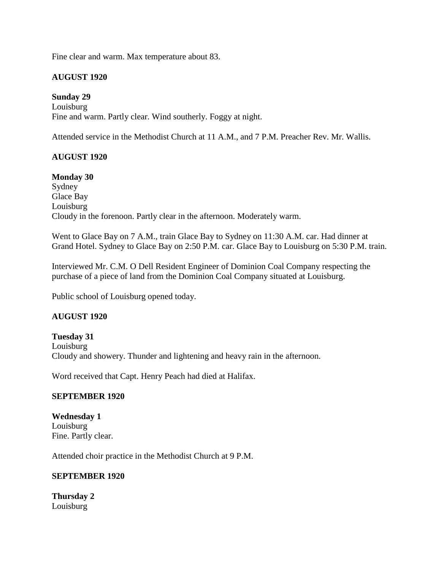Fine clear and warm. Max temperature about 83.

### **AUGUST 1920**

### **Sunday 29**

Louisburg Fine and warm. Partly clear. Wind southerly. Foggy at night.

Attended service in the Methodist Church at 11 A.M., and 7 P.M. Preacher Rev. Mr. Wallis.

### **AUGUST 1920**

#### **Monday 30**

Sydney Glace Bay Louisburg Cloudy in the forenoon. Partly clear in the afternoon. Moderately warm.

Went to Glace Bay on 7 A.M., train Glace Bay to Sydney on 11:30 A.M. car. Had dinner at Grand Hotel. Sydney to Glace Bay on 2:50 P.M. car. Glace Bay to Louisburg on 5:30 P.M. train.

Interviewed Mr. C.M. O Dell Resident Engineer of Dominion Coal Company respecting the purchase of a piece of land from the Dominion Coal Company situated at Louisburg.

Public school of Louisburg opened today.

### **AUGUST 1920**

**Tuesday 31** Louisburg Cloudy and showery. Thunder and lightening and heavy rain in the afternoon.

Word received that Capt. Henry Peach had died at Halifax.

#### **SEPTEMBER 1920**

**Wednesday 1** Louisburg Fine. Partly clear.

Attended choir practice in the Methodist Church at 9 P.M.

#### **SEPTEMBER 1920**

**Thursday 2** Louisburg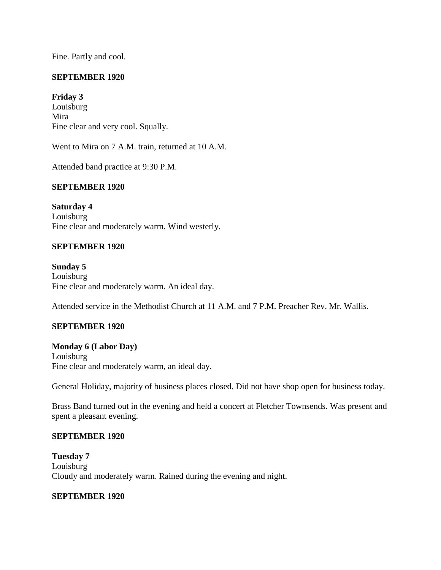Fine. Partly and cool.

### **SEPTEMBER 1920**

#### **Friday 3**

Louisburg Mira Fine clear and very cool. Squally.

Went to Mira on 7 A.M. train, returned at 10 A.M.

Attended band practice at 9:30 P.M.

#### **SEPTEMBER 1920**

**Saturday 4** Louisburg Fine clear and moderately warm. Wind westerly.

#### **SEPTEMBER 1920**

**Sunday 5** Louisburg Fine clear and moderately warm. An ideal day.

Attended service in the Methodist Church at 11 A.M. and 7 P.M. Preacher Rev. Mr. Wallis.

#### **SEPTEMBER 1920**

**Monday 6 (Labor Day)** Louisburg Fine clear and moderately warm, an ideal day.

General Holiday, majority of business places closed. Did not have shop open for business today.

Brass Band turned out in the evening and held a concert at Fletcher Townsends. Was present and spent a pleasant evening.

#### **SEPTEMBER 1920**

**Tuesday 7** Louisburg Cloudy and moderately warm. Rained during the evening and night.

#### **SEPTEMBER 1920**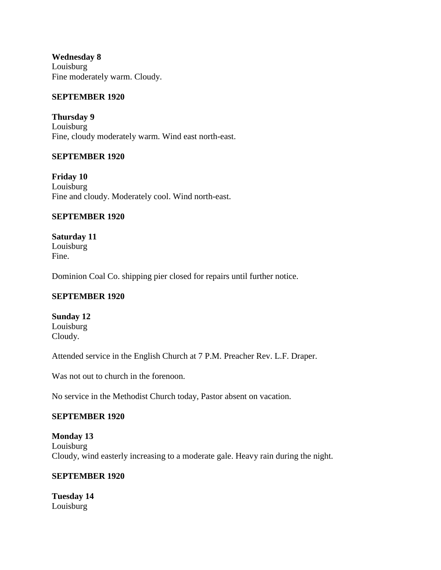**Wednesday 8** Louisburg Fine moderately warm. Cloudy.

### **SEPTEMBER 1920**

**Thursday 9** Louisburg Fine, cloudy moderately warm. Wind east north-east.

#### **SEPTEMBER 1920**

**Friday 10** Louisburg Fine and cloudy. Moderately cool. Wind north-east.

#### **SEPTEMBER 1920**

**Saturday 11** Louisburg Fine.

Dominion Coal Co. shipping pier closed for repairs until further notice.

#### **SEPTEMBER 1920**

**Sunday 12** Louisburg Cloudy.

Attended service in the English Church at 7 P.M. Preacher Rev. L.F. Draper.

Was not out to church in the forenoon.

No service in the Methodist Church today, Pastor absent on vacation.

#### **SEPTEMBER 1920**

**Monday 13** Louisburg Cloudy, wind easterly increasing to a moderate gale. Heavy rain during the night.

#### **SEPTEMBER 1920**

**Tuesday 14** Louisburg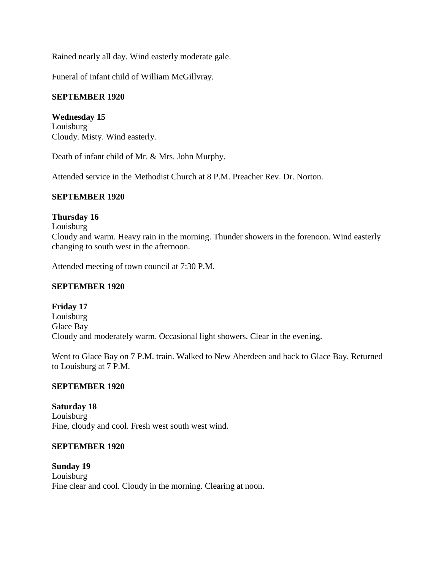Rained nearly all day. Wind easterly moderate gale.

Funeral of infant child of William McGillvray.

### **SEPTEMBER 1920**

**Wednesday 15** Louisburg Cloudy. Misty. Wind easterly.

Death of infant child of Mr. & Mrs. John Murphy.

Attended service in the Methodist Church at 8 P.M. Preacher Rev. Dr. Norton.

#### **SEPTEMBER 1920**

#### **Thursday 16**

Louisburg

Cloudy and warm. Heavy rain in the morning. Thunder showers in the forenoon. Wind easterly changing to south west in the afternoon.

Attended meeting of town council at 7:30 P.M.

#### **SEPTEMBER 1920**

**Friday 17** Louisburg Glace Bay Cloudy and moderately warm. Occasional light showers. Clear in the evening.

Went to Glace Bay on 7 P.M. train. Walked to New Aberdeen and back to Glace Bay. Returned to Louisburg at 7 P.M.

#### **SEPTEMBER 1920**

**Saturday 18** Louisburg Fine, cloudy and cool. Fresh west south west wind.

#### **SEPTEMBER 1920**

**Sunday 19** Louisburg Fine clear and cool. Cloudy in the morning. Clearing at noon.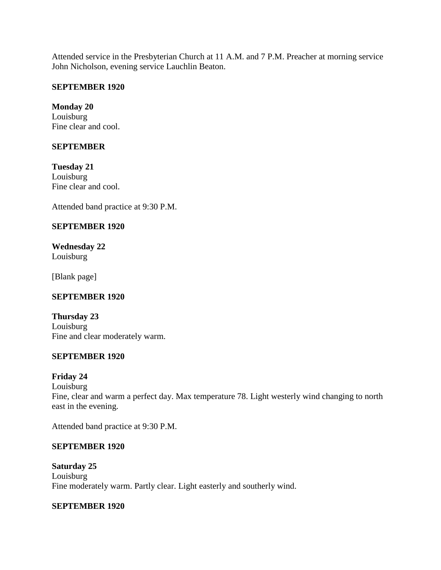Attended service in the Presbyterian Church at 11 A.M. and 7 P.M. Preacher at morning service John Nicholson, evening service Lauchlin Beaton.

#### **SEPTEMBER 1920**

**Monday 20** Louisburg Fine clear and cool.

### **SEPTEMBER**

**Tuesday 21** Louisburg Fine clear and cool.

Attended band practice at 9:30 P.M.

#### **SEPTEMBER 1920**

**Wednesday 22** Louisburg

[Blank page]

#### **SEPTEMBER 1920**

**Thursday 23** Louisburg Fine and clear moderately warm.

#### **SEPTEMBER 1920**

#### **Friday 24**

Louisburg Fine, clear and warm a perfect day. Max temperature 78. Light westerly wind changing to north east in the evening.

Attended band practice at 9:30 P.M.

#### **SEPTEMBER 1920**

**Saturday 25** Louisburg Fine moderately warm. Partly clear. Light easterly and southerly wind.

#### **SEPTEMBER 1920**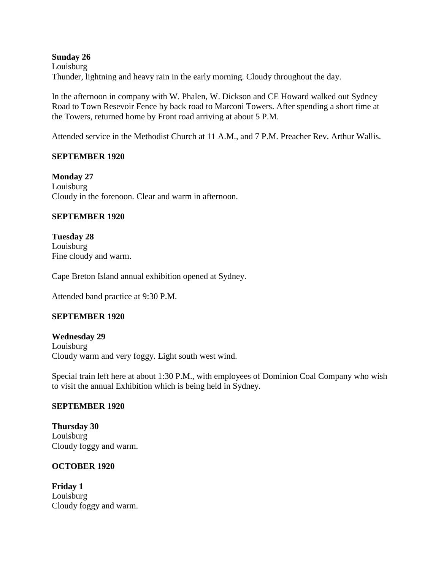**Sunday 26** Louisburg Thunder, lightning and heavy rain in the early morning. Cloudy throughout the day.

In the afternoon in company with W. Phalen, W. Dickson and CE Howard walked out Sydney Road to Town Resevoir Fence by back road to Marconi Towers. After spending a short time at the Towers, returned home by Front road arriving at about 5 P.M.

Attended service in the Methodist Church at 11 A.M., and 7 P.M. Preacher Rev. Arthur Wallis.

#### **SEPTEMBER 1920**

**Monday 27** Louisburg Cloudy in the forenoon. Clear and warm in afternoon.

#### **SEPTEMBER 1920**

**Tuesday 28** Louisburg Fine cloudy and warm.

Cape Breton Island annual exhibition opened at Sydney.

Attended band practice at 9:30 P.M.

#### **SEPTEMBER 1920**

**Wednesday 29** Louisburg Cloudy warm and very foggy. Light south west wind.

Special train left here at about 1:30 P.M., with employees of Dominion Coal Company who wish to visit the annual Exhibition which is being held in Sydney.

#### **SEPTEMBER 1920**

**Thursday 30** Louisburg Cloudy foggy and warm.

#### **OCTOBER 1920**

**Friday 1** Louisburg Cloudy foggy and warm.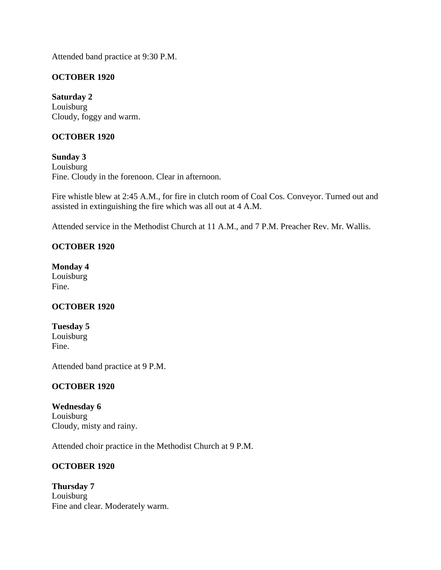Attended band practice at 9:30 P.M.

### **OCTOBER 1920**

**Saturday 2** Louisburg Cloudy, foggy and warm.

### **OCTOBER 1920**

**Sunday 3** Louisburg Fine. Cloudy in the forenoon. Clear in afternoon.

Fire whistle blew at 2:45 A.M., for fire in clutch room of Coal Cos. Conveyor. Turned out and assisted in extinguishing the fire which was all out at 4 A.M.

Attended service in the Methodist Church at 11 A.M., and 7 P.M. Preacher Rev. Mr. Wallis.

### **OCTOBER 1920**

**Monday 4** Louisburg Fine.

### **OCTOBER 1920**

**Tuesday 5** Louisburg Fine.

Attended band practice at 9 P.M.

### **OCTOBER 1920**

**Wednesday 6** Louisburg Cloudy, misty and rainy.

Attended choir practice in the Methodist Church at 9 P.M.

### **OCTOBER 1920**

**Thursday 7** Louisburg Fine and clear. Moderately warm.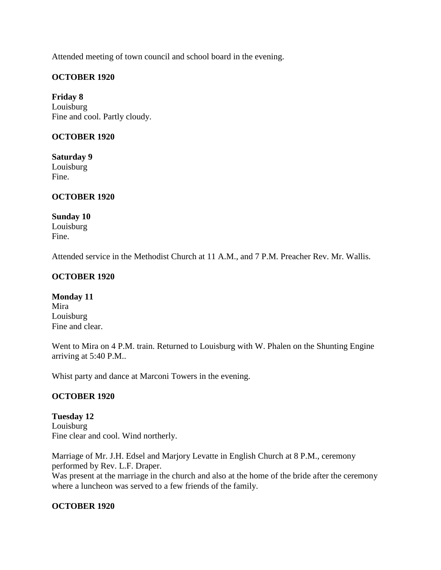Attended meeting of town council and school board in the evening.

### **OCTOBER 1920**

**Friday 8** Louisburg Fine and cool. Partly cloudy.

#### **OCTOBER 1920**

**Saturday 9** Louisburg Fine.

#### **OCTOBER 1920**

#### **Sunday 10**

Louisburg Fine.

Attended service in the Methodist Church at 11 A.M., and 7 P.M. Preacher Rev. Mr. Wallis.

#### **OCTOBER 1920**

**Monday 11** Mira Louisburg Fine and clear.

Went to Mira on 4 P.M. train. Returned to Louisburg with W. Phalen on the Shunting Engine arriving at 5:40 P.M..

Whist party and dance at Marconi Towers in the evening.

### **OCTOBER 1920**

**Tuesday 12** Louisburg Fine clear and cool. Wind northerly.

Marriage of Mr. J.H. Edsel and Marjory Levatte in English Church at 8 P.M., ceremony performed by Rev. L.F. Draper. Was present at the marriage in the church and also at the home of the bride after the ceremony where a luncheon was served to a few friends of the family.

#### **OCTOBER 1920**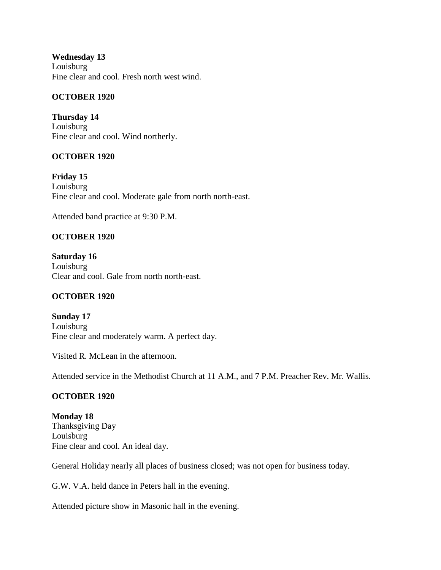**Wednesday 13** Louisburg Fine clear and cool. Fresh north west wind.

### **OCTOBER 1920**

**Thursday 14** Louisburg Fine clear and cool. Wind northerly.

### **OCTOBER 1920**

**Friday 15** Louisburg Fine clear and cool. Moderate gale from north north-east.

Attended band practice at 9:30 P.M.

# **OCTOBER 1920**

**Saturday 16** Louisburg Clear and cool. Gale from north north-east.

# **OCTOBER 1920**

**Sunday 17** Louisburg Fine clear and moderately warm. A perfect day.

Visited R. McLean in the afternoon.

Attended service in the Methodist Church at 11 A.M., and 7 P.M. Preacher Rev. Mr. Wallis.

# **OCTOBER 1920**

**Monday 18** Thanksgiving Day Louisburg Fine clear and cool. An ideal day.

General Holiday nearly all places of business closed; was not open for business today.

G.W. V.A. held dance in Peters hall in the evening.

Attended picture show in Masonic hall in the evening.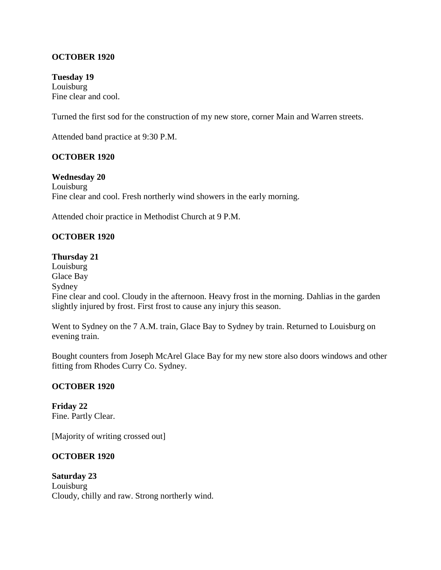### **OCTOBER 1920**

**Tuesday 19** Louisburg Fine clear and cool.

Turned the first sod for the construction of my new store, corner Main and Warren streets.

Attended band practice at 9:30 P.M.

#### **OCTOBER 1920**

**Wednesday 20** Louisburg Fine clear and cool. Fresh northerly wind showers in the early morning.

Attended choir practice in Methodist Church at 9 P.M.

### **OCTOBER 1920**

#### **Thursday 21**

Louisburg Glace Bay Sydney Fine clear and cool. Cloudy in the afternoon. Heavy frost in the morning. Dahlias in the garden slightly injured by frost. First frost to cause any injury this season.

Went to Sydney on the 7 A.M. train, Glace Bay to Sydney by train. Returned to Louisburg on evening train.

Bought counters from Joseph McArel Glace Bay for my new store also doors windows and other fitting from Rhodes Curry Co. Sydney.

#### **OCTOBER 1920**

**Friday 22** Fine. Partly Clear.

[Majority of writing crossed out]

### **OCTOBER 1920**

**Saturday 23** Louisburg Cloudy, chilly and raw. Strong northerly wind.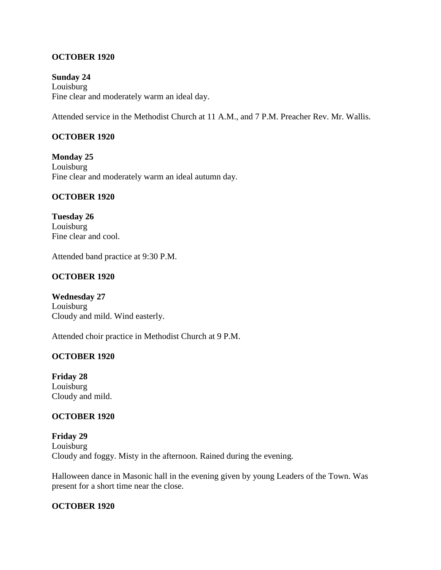### **OCTOBER 1920**

**Sunday 24** Louisburg Fine clear and moderately warm an ideal day.

Attended service in the Methodist Church at 11 A.M., and 7 P.M. Preacher Rev. Mr. Wallis.

### **OCTOBER 1920**

**Monday 25** Louisburg Fine clear and moderately warm an ideal autumn day.

#### **OCTOBER 1920**

**Tuesday 26** Louisburg Fine clear and cool.

Attended band practice at 9:30 P.M.

#### **OCTOBER 1920**

**Wednesday 27** Louisburg Cloudy and mild. Wind easterly.

Attended choir practice in Methodist Church at 9 P.M.

#### **OCTOBER 1920**

**Friday 28** Louisburg Cloudy and mild.

#### **OCTOBER 1920**

**Friday 29** Louisburg Cloudy and foggy. Misty in the afternoon. Rained during the evening.

Halloween dance in Masonic hall in the evening given by young Leaders of the Town. Was present for a short time near the close.

#### **OCTOBER 1920**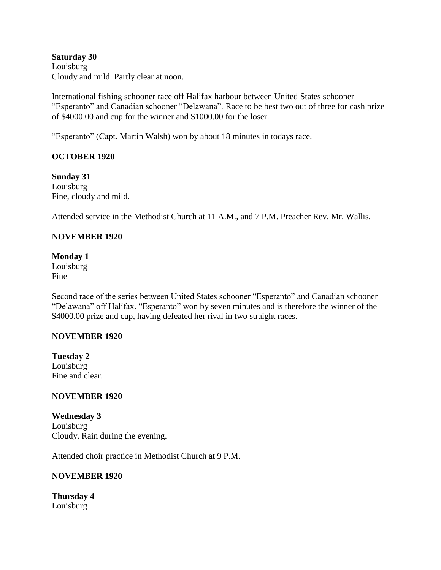**Saturday 30** Louisburg Cloudy and mild. Partly clear at noon.

International fishing schooner race off Halifax harbour between United States schooner "Esperanto" and Canadian schooner "Delawana". Race to be best two out of three for cash prize of \$4000.00 and cup for the winner and \$1000.00 for the loser.

"Esperanto" (Capt. Martin Walsh) won by about 18 minutes in todays race.

### **OCTOBER 1920**

**Sunday 31** Louisburg Fine, cloudy and mild.

Attended service in the Methodist Church at 11 A.M., and 7 P.M. Preacher Rev. Mr. Wallis.

### **NOVEMBER 1920**

**Monday 1** Louisburg Fine

Second race of the series between United States schooner "Esperanto" and Canadian schooner "Delawana" off Halifax. "Esperanto" won by seven minutes and is therefore the winner of the \$4000.00 prize and cup, having defeated her rival in two straight races.

#### **NOVEMBER 1920**

**Tuesday 2** Louisburg Fine and clear.

### **NOVEMBER 1920**

**Wednesday 3** Louisburg Cloudy. Rain during the evening.

Attended choir practice in Methodist Church at 9 P.M.

### **NOVEMBER 1920**

**Thursday 4** Louisburg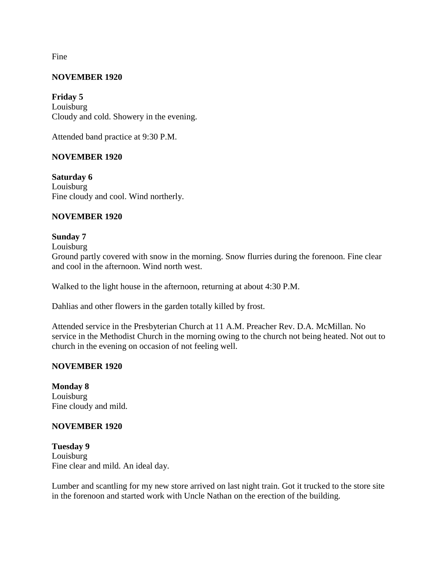Fine

#### **NOVEMBER 1920**

**Friday 5** Louisburg Cloudy and cold. Showery in the evening.

Attended band practice at 9:30 P.M.

#### **NOVEMBER 1920**

**Saturday 6** Louisburg Fine cloudy and cool. Wind northerly.

#### **NOVEMBER 1920**

#### **Sunday 7**

Louisburg

Ground partly covered with snow in the morning. Snow flurries during the forenoon. Fine clear and cool in the afternoon. Wind north west.

Walked to the light house in the afternoon, returning at about 4:30 P.M.

Dahlias and other flowers in the garden totally killed by frost.

Attended service in the Presbyterian Church at 11 A.M. Preacher Rev. D.A. McMillan. No service in the Methodist Church in the morning owing to the church not being heated. Not out to church in the evening on occasion of not feeling well.

#### **NOVEMBER 1920**

**Monday 8** Louisburg Fine cloudy and mild.

#### **NOVEMBER 1920**

**Tuesday 9** Louisburg Fine clear and mild. An ideal day.

Lumber and scantling for my new store arrived on last night train. Got it trucked to the store site in the forenoon and started work with Uncle Nathan on the erection of the building.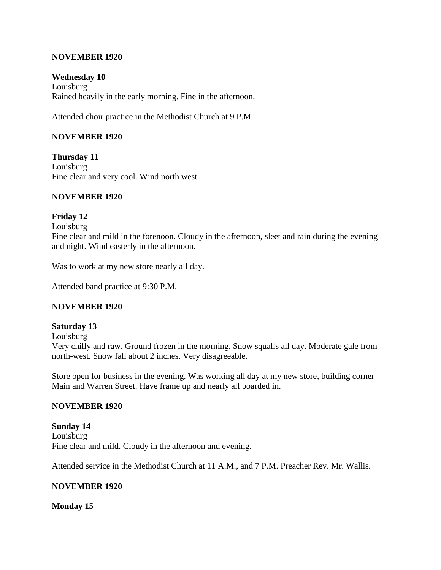#### **NOVEMBER 1920**

#### **Wednesday 10** Louisburg Rained heavily in the early morning. Fine in the afternoon.

Attended choir practice in the Methodist Church at 9 P.M.

### **NOVEMBER 1920**

**Thursday 11** Louisburg Fine clear and very cool. Wind north west.

#### **NOVEMBER 1920**

#### **Friday 12**

Louisburg

Fine clear and mild in the forenoon. Cloudy in the afternoon, sleet and rain during the evening and night. Wind easterly in the afternoon.

Was to work at my new store nearly all day.

Attended band practice at 9:30 P.M.

#### **NOVEMBER 1920**

#### **Saturday 13**

Louisburg

Very chilly and raw. Ground frozen in the morning. Snow squalls all day. Moderate gale from north-west. Snow fall about 2 inches. Very disagreeable.

Store open for business in the evening. Was working all day at my new store, building corner Main and Warren Street. Have frame up and nearly all boarded in.

#### **NOVEMBER 1920**

**Sunday 14** Louisburg Fine clear and mild. Cloudy in the afternoon and evening.

Attended service in the Methodist Church at 11 A.M., and 7 P.M. Preacher Rev. Mr. Wallis.

#### **NOVEMBER 1920**

#### **Monday 15**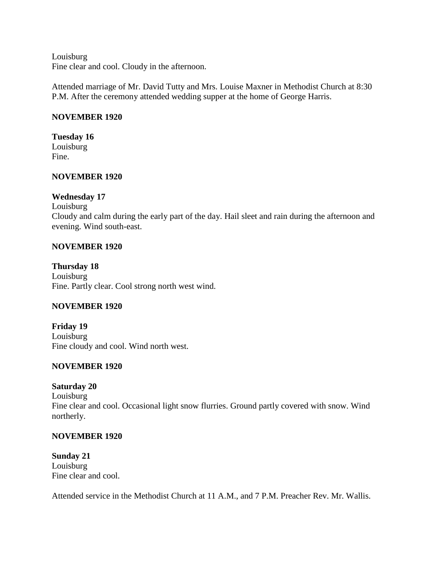Louisburg Fine clear and cool. Cloudy in the afternoon.

Attended marriage of Mr. David Tutty and Mrs. Louise Maxner in Methodist Church at 8:30 P.M. After the ceremony attended wedding supper at the home of George Harris.

### **NOVEMBER 1920**

# **Tuesday 16**

Louisburg Fine.

#### **NOVEMBER 1920**

#### **Wednesday 17**

Louisburg Cloudy and calm during the early part of the day. Hail sleet and rain during the afternoon and evening. Wind south-east.

#### **NOVEMBER 1920**

**Thursday 18** Louisburg Fine. Partly clear. Cool strong north west wind.

### **NOVEMBER 1920**

**Friday 19** Louisburg Fine cloudy and cool. Wind north west.

### **NOVEMBER 1920**

#### **Saturday 20**

Louisburg Fine clear and cool. Occasional light snow flurries. Ground partly covered with snow. Wind northerly.

#### **NOVEMBER 1920**

**Sunday 21** Louisburg Fine clear and cool.

Attended service in the Methodist Church at 11 A.M., and 7 P.M. Preacher Rev. Mr. Wallis.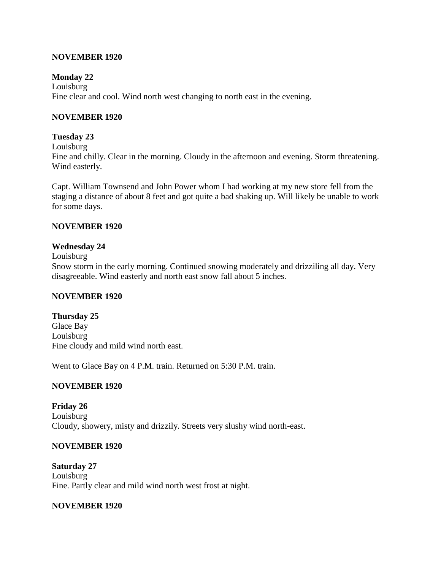#### **NOVEMBER 1920**

#### **Monday 22**

Louisburg Fine clear and cool. Wind north west changing to north east in the evening.

#### **NOVEMBER 1920**

#### **Tuesday 23**

Louisburg

Fine and chilly. Clear in the morning. Cloudy in the afternoon and evening. Storm threatening. Wind easterly.

Capt. William Townsend and John Power whom I had working at my new store fell from the staging a distance of about 8 feet and got quite a bad shaking up. Will likely be unable to work for some days.

#### **NOVEMBER 1920**

#### **Wednesday 24**

Louisburg

Snow storm in the early morning. Continued snowing moderately and drizziling all day. Very disagreeable. Wind easterly and north east snow fall about 5 inches.

#### **NOVEMBER 1920**

#### **Thursday 25**

Glace Bay Louisburg Fine cloudy and mild wind north east.

Went to Glace Bay on 4 P.M. train. Returned on 5:30 P.M. train.

### **NOVEMBER 1920**

**Friday 26** Louisburg Cloudy, showery, misty and drizzily. Streets very slushy wind north-east.

#### **NOVEMBER 1920**

**Saturday 27** Louisburg Fine. Partly clear and mild wind north west frost at night.

#### **NOVEMBER 1920**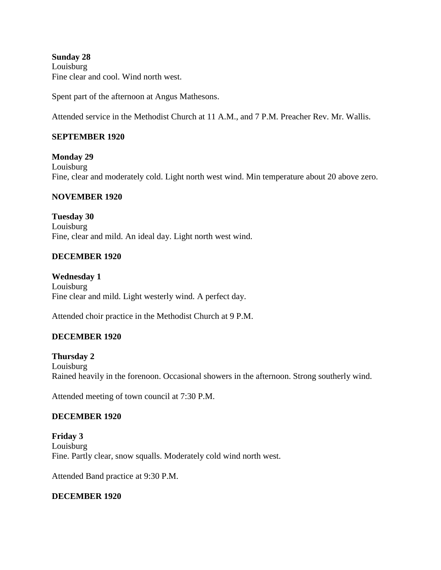**Sunday 28** Louisburg Fine clear and cool. Wind north west.

Spent part of the afternoon at Angus Mathesons.

Attended service in the Methodist Church at 11 A.M., and 7 P.M. Preacher Rev. Mr. Wallis.

#### **SEPTEMBER 1920**

**Monday 29** Louisburg Fine, clear and moderately cold. Light north west wind. Min temperature about 20 above zero.

#### **NOVEMBER 1920**

**Tuesday 30** Louisburg Fine, clear and mild. An ideal day. Light north west wind.

#### **DECEMBER 1920**

**Wednesday 1** Louisburg Fine clear and mild. Light westerly wind. A perfect day.

Attended choir practice in the Methodist Church at 9 P.M.

#### **DECEMBER 1920**

**Thursday 2** Louisburg Rained heavily in the forenoon. Occasional showers in the afternoon. Strong southerly wind.

Attended meeting of town council at 7:30 P.M.

#### **DECEMBER 1920**

**Friday 3** Louisburg Fine. Partly clear, snow squalls. Moderately cold wind north west.

Attended Band practice at 9:30 P.M.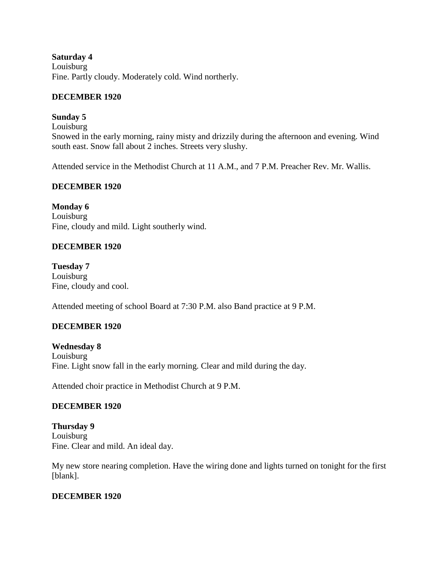**Saturday 4** Louisburg Fine. Partly cloudy. Moderately cold. Wind northerly.

### **DECEMBER 1920**

# **Sunday 5**

Louisburg Snowed in the early morning, rainy misty and drizzily during the afternoon and evening. Wind south east. Snow fall about 2 inches. Streets very slushy.

Attended service in the Methodist Church at 11 A.M., and 7 P.M. Preacher Rev. Mr. Wallis.

# **DECEMBER 1920**

**Monday 6** Louisburg Fine, cloudy and mild. Light southerly wind.

### **DECEMBER 1920**

**Tuesday 7** Louisburg Fine, cloudy and cool.

Attended meeting of school Board at 7:30 P.M. also Band practice at 9 P.M.

# **DECEMBER 1920**

**Wednesday 8** Louisburg Fine. Light snow fall in the early morning. Clear and mild during the day.

Attended choir practice in Methodist Church at 9 P.M.

# **DECEMBER 1920**

**Thursday 9** Louisburg Fine. Clear and mild. An ideal day.

My new store nearing completion. Have the wiring done and lights turned on tonight for the first [blank].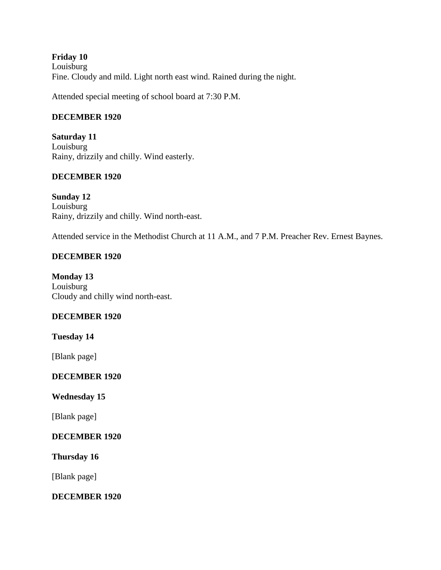**Friday 10** Louisburg Fine. Cloudy and mild. Light north east wind. Rained during the night.

Attended special meeting of school board at 7:30 P.M.

### **DECEMBER 1920**

**Saturday 11** Louisburg Rainy, drizzily and chilly. Wind easterly.

### **DECEMBER 1920**

**Sunday 12** Louisburg Rainy, drizzily and chilly. Wind north-east.

Attended service in the Methodist Church at 11 A.M., and 7 P.M. Preacher Rev. Ernest Baynes.

### **DECEMBER 1920**

**Monday 13** Louisburg Cloudy and chilly wind north-east.

### **DECEMBER 1920**

**Tuesday 14**

[Blank page]

**DECEMBER 1920**

**Wednesday 15**

[Blank page]

### **DECEMBER 1920**

**Thursday 16**

[Blank page]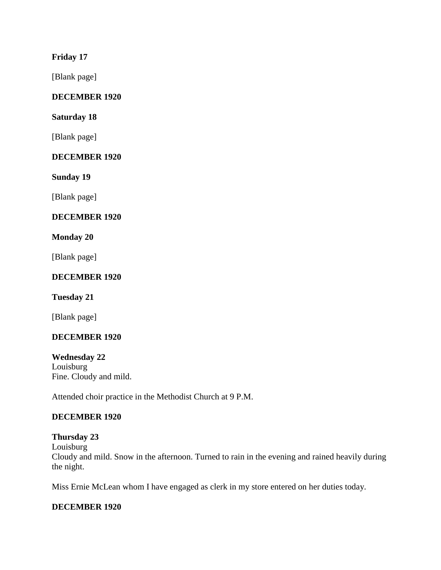### **Friday 17**

[Blank page]

# **DECEMBER 1920**

### **Saturday 18**

[Blank page]

### **DECEMBER 1920**

**Sunday 19**

[Blank page]

### **DECEMBER 1920**

### **Monday 20**

[Blank page]

### **DECEMBER 1920**

### **Tuesday 21**

[Blank page]

### **DECEMBER 1920**

**Wednesday 22** Louisburg Fine. Cloudy and mild.

Attended choir practice in the Methodist Church at 9 P.M.

### **DECEMBER 1920**

### **Thursday 23** Louisburg Cloudy and mild. Snow in the afternoon. Turned to rain in the evening and rained heavily during the night.

Miss Ernie McLean whom I have engaged as clerk in my store entered on her duties today.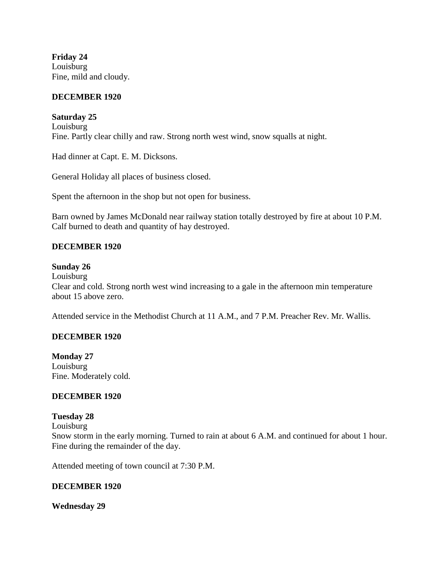**Friday 24** Louisburg Fine, mild and cloudy.

#### **DECEMBER 1920**

**Saturday 25**

Louisburg Fine. Partly clear chilly and raw. Strong north west wind, snow squalls at night.

Had dinner at Capt. E. M. Dicksons.

General Holiday all places of business closed.

Spent the afternoon in the shop but not open for business.

Barn owned by James McDonald near railway station totally destroyed by fire at about 10 P.M. Calf burned to death and quantity of hay destroyed.

#### **DECEMBER 1920**

#### **Sunday 26**

Louisburg Clear and cold. Strong north west wind increasing to a gale in the afternoon min temperature about 15 above zero.

Attended service in the Methodist Church at 11 A.M., and 7 P.M. Preacher Rev. Mr. Wallis.

#### **DECEMBER 1920**

**Monday 27** Louisburg Fine. Moderately cold.

#### **DECEMBER 1920**

#### **Tuesday 28**

Louisburg

Snow storm in the early morning. Turned to rain at about 6 A.M. and continued for about 1 hour. Fine during the remainder of the day.

Attended meeting of town council at 7:30 P.M.

#### **DECEMBER 1920**

#### **Wednesday 29**